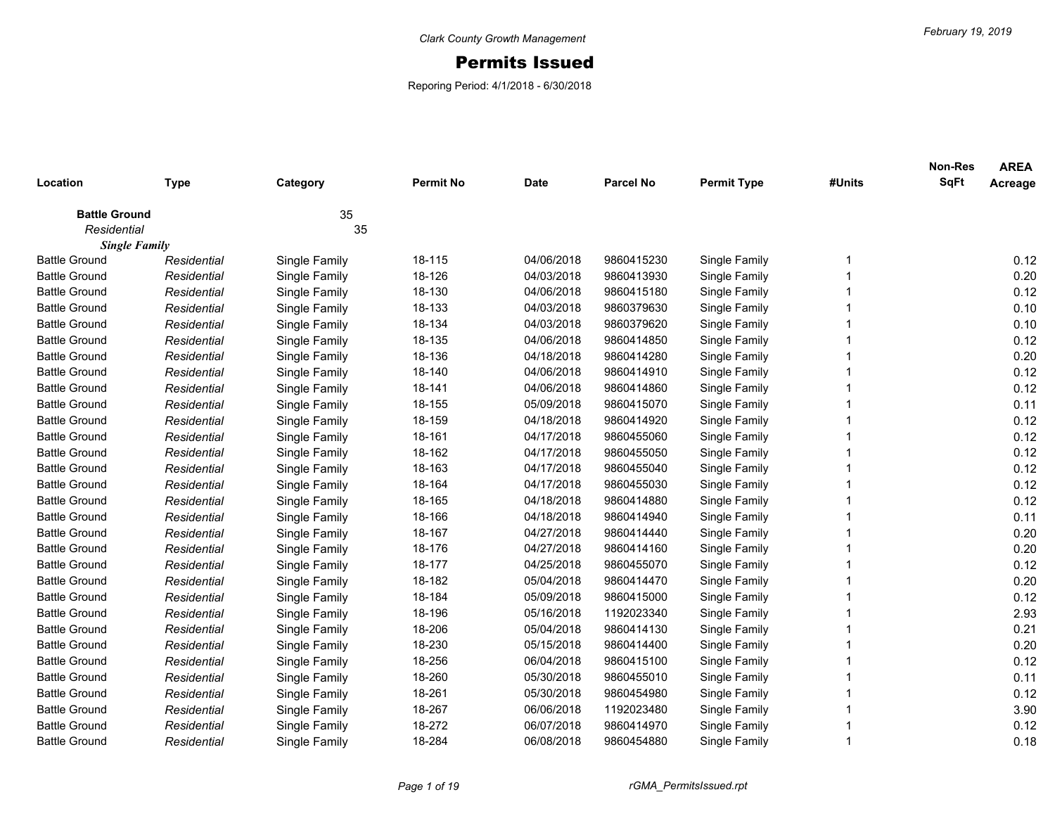## Permits Issued

Reporing Period: 4/1/2018 - 6/30/2018

| Location                            | <b>Type</b>          | Category      | <b>Permit No</b> | <b>Date</b> | <b>Parcel No</b> | <b>Permit Type</b> | #Units | <b>Non-Res</b><br><b>SqFt</b> | <b>AREA</b><br>Acreage |
|-------------------------------------|----------------------|---------------|------------------|-------------|------------------|--------------------|--------|-------------------------------|------------------------|
|                                     |                      |               |                  |             |                  |                    |        |                               |                        |
| <b>Battle Ground</b><br>Residential |                      | 35<br>35      |                  |             |                  |                    |        |                               |                        |
|                                     | <b>Single Family</b> |               |                  |             |                  |                    |        |                               |                        |
| <b>Battle Ground</b>                | Residential          | Single Family | 18-115           | 04/06/2018  | 9860415230       | Single Family      | 1      |                               | 0.12                   |
| <b>Battle Ground</b>                | Residential          | Single Family | 18-126           | 04/03/2018  | 9860413930       | Single Family      |        |                               | 0.20                   |
| <b>Battle Ground</b>                | Residential          | Single Family | 18-130           | 04/06/2018  | 9860415180       | Single Family      |        |                               | 0.12                   |
| <b>Battle Ground</b>                | Residential          | Single Family | 18-133           | 04/03/2018  | 9860379630       | Single Family      |        |                               | 0.10                   |
| <b>Battle Ground</b>                | Residential          | Single Family | 18-134           | 04/03/2018  | 9860379620       | Single Family      |        |                               | 0.10                   |
| <b>Battle Ground</b>                | Residential          | Single Family | 18-135           | 04/06/2018  | 9860414850       | Single Family      |        |                               | 0.12                   |
| <b>Battle Ground</b>                | Residential          | Single Family | 18-136           | 04/18/2018  | 9860414280       | Single Family      |        |                               | 0.20                   |
| <b>Battle Ground</b>                | Residential          | Single Family | 18-140           | 04/06/2018  | 9860414910       | Single Family      |        |                               | 0.12                   |
| <b>Battle Ground</b>                | Residential          | Single Family | 18-141           | 04/06/2018  | 9860414860       | Single Family      |        |                               | 0.12                   |
| <b>Battle Ground</b>                | Residential          | Single Family | 18-155           | 05/09/2018  | 9860415070       | Single Family      |        |                               | 0.11                   |
| <b>Battle Ground</b>                | Residential          | Single Family | 18-159           | 04/18/2018  | 9860414920       | Single Family      |        |                               | 0.12                   |
| <b>Battle Ground</b>                | Residential          | Single Family | 18-161           | 04/17/2018  | 9860455060       | Single Family      |        |                               | 0.12                   |
| <b>Battle Ground</b>                | Residential          | Single Family | 18-162           | 04/17/2018  | 9860455050       | Single Family      |        |                               | 0.12                   |
| <b>Battle Ground</b>                | Residential          | Single Family | 18-163           | 04/17/2018  | 9860455040       | Single Family      |        |                               | 0.12                   |
| <b>Battle Ground</b>                | Residential          | Single Family | 18-164           | 04/17/2018  | 9860455030       | Single Family      |        |                               | 0.12                   |
| <b>Battle Ground</b>                | Residential          | Single Family | 18-165           | 04/18/2018  | 9860414880       | Single Family      |        |                               | 0.12                   |
| <b>Battle Ground</b>                | Residential          | Single Family | 18-166           | 04/18/2018  | 9860414940       | Single Family      |        |                               | 0.11                   |
| <b>Battle Ground</b>                | Residential          | Single Family | 18-167           | 04/27/2018  | 9860414440       | Single Family      |        |                               | 0.20                   |
| <b>Battle Ground</b>                | Residential          | Single Family | 18-176           | 04/27/2018  | 9860414160       | Single Family      |        |                               | 0.20                   |
| <b>Battle Ground</b>                | Residential          | Single Family | 18-177           | 04/25/2018  | 9860455070       | Single Family      |        |                               | 0.12                   |
| <b>Battle Ground</b>                | Residential          | Single Family | 18-182           | 05/04/2018  | 9860414470       | Single Family      |        |                               | 0.20                   |
| <b>Battle Ground</b>                | Residential          | Single Family | 18-184           | 05/09/2018  | 9860415000       | Single Family      |        |                               | 0.12                   |
| <b>Battle Ground</b>                | Residential          | Single Family | 18-196           | 05/16/2018  | 1192023340       | Single Family      |        |                               | 2.93                   |
| <b>Battle Ground</b>                | Residential          | Single Family | 18-206           | 05/04/2018  | 9860414130       | Single Family      |        |                               | 0.21                   |
| <b>Battle Ground</b>                | Residential          | Single Family | 18-230           | 05/15/2018  | 9860414400       | Single Family      |        |                               | 0.20                   |
| <b>Battle Ground</b>                | Residential          | Single Family | 18-256           | 06/04/2018  | 9860415100       | Single Family      |        |                               | 0.12                   |
| <b>Battle Ground</b>                | Residential          | Single Family | 18-260           | 05/30/2018  | 9860455010       | Single Family      |        |                               | 0.11                   |
| <b>Battle Ground</b>                | Residential          | Single Family | 18-261           | 05/30/2018  | 9860454980       | Single Family      |        |                               | 0.12                   |
| <b>Battle Ground</b>                | Residential          | Single Family | 18-267           | 06/06/2018  | 1192023480       | Single Family      |        |                               | 3.90                   |
| <b>Battle Ground</b>                | Residential          | Single Family | 18-272           | 06/07/2018  | 9860414970       | Single Family      |        |                               | 0.12                   |
| <b>Battle Ground</b>                | Residential          | Single Family | 18-284           | 06/08/2018  | 9860454880       | Single Family      | 1      |                               | 0.18                   |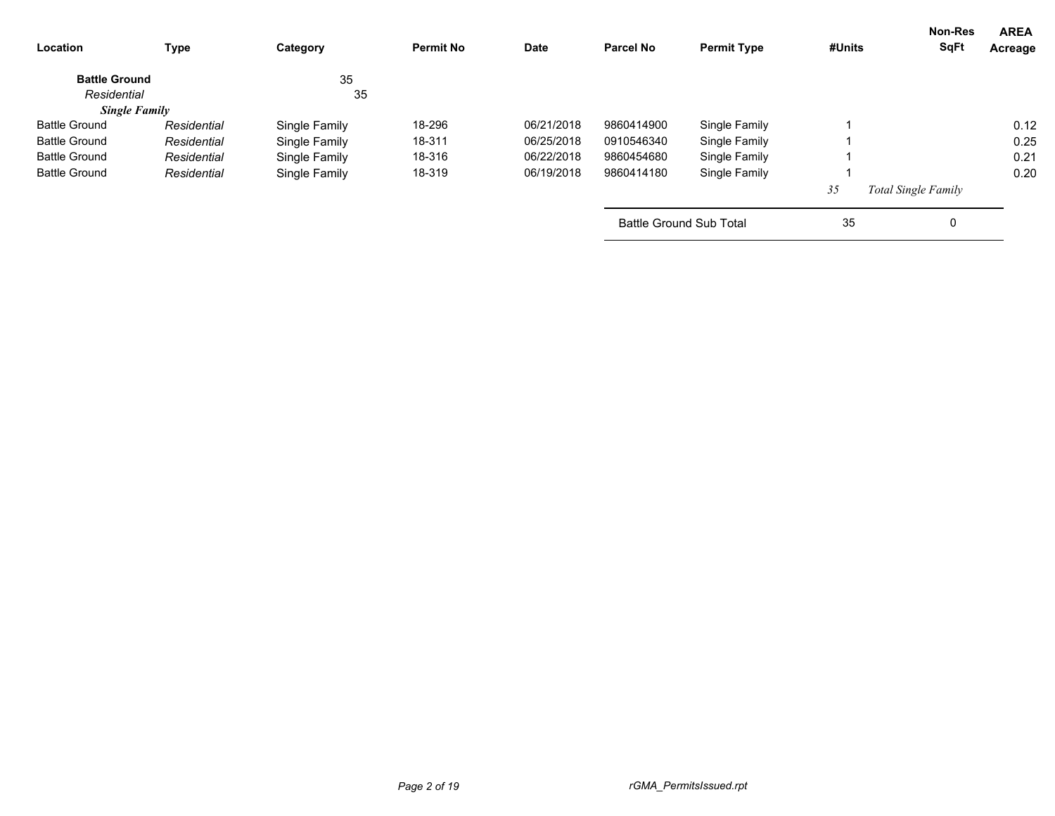| Location             | Type        | Category      | <b>Permit No</b> | <b>Date</b> | <b>Parcel No</b>        | <b>Permit Type</b> | #Units | Non-Res<br><b>SqFt</b>     | <b>AREA</b><br>Acreage |
|----------------------|-------------|---------------|------------------|-------------|-------------------------|--------------------|--------|----------------------------|------------------------|
| <b>Battle Ground</b> |             | 35            |                  |             |                         |                    |        |                            |                        |
| Residential          |             | 35            |                  |             |                         |                    |        |                            |                        |
| <b>Single Family</b> |             |               |                  |             |                         |                    |        |                            |                        |
| <b>Battle Ground</b> | Residential | Single Family | 18-296           | 06/21/2018  | 9860414900              | Single Family      |        |                            | 0.12                   |
| <b>Battle Ground</b> | Residential | Single Family | 18-311           | 06/25/2018  | 0910546340              | Single Family      |        |                            | 0.25                   |
| <b>Battle Ground</b> | Residential | Single Family | 18-316           | 06/22/2018  | 9860454680              | Single Family      |        |                            | 0.21                   |
| <b>Battle Ground</b> | Residential | Single Family | 18-319           | 06/19/2018  | 9860414180              | Single Family      |        |                            | 0.20                   |
|                      |             |               |                  |             |                         |                    | 35     | <b>Total Single Family</b> |                        |
|                      |             |               |                  |             | Battle Ground Sub Total |                    | 35     | 0                          |                        |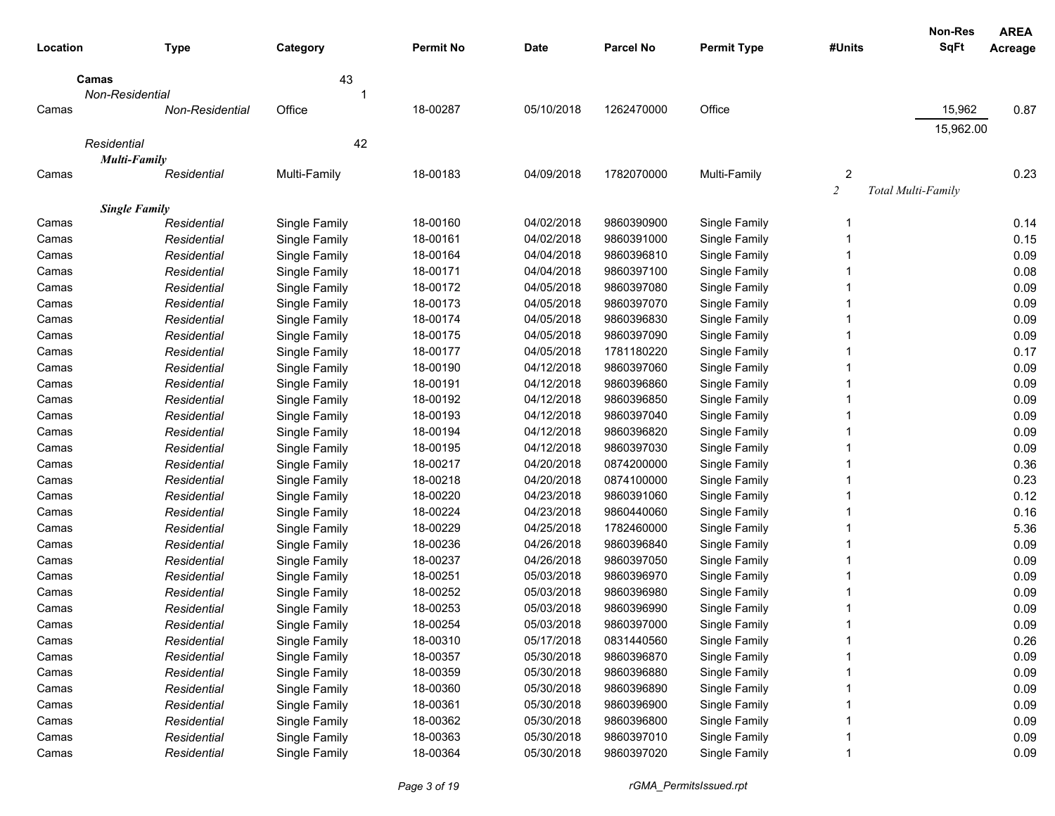|          |                      |               |                  |             |            |                    |                | Non-Res                   | <b>AREA</b> |
|----------|----------------------|---------------|------------------|-------------|------------|--------------------|----------------|---------------------------|-------------|
| Location | <b>Type</b>          | Category      | <b>Permit No</b> | <b>Date</b> | Parcel No  | <b>Permit Type</b> | #Units         | <b>SqFt</b>               | Acreage     |
|          | Camas                | 43            |                  |             |            |                    |                |                           |             |
|          | Non-Residential      |               |                  |             |            |                    |                |                           |             |
| Camas    | Non-Residential      | Office        | 18-00287         | 05/10/2018  | 1262470000 | Office             |                | 15,962                    | 0.87        |
|          |                      |               |                  |             |            |                    |                | 15,962.00                 |             |
|          | Residential          | 42            |                  |             |            |                    |                |                           |             |
|          | <b>Multi-Family</b>  |               |                  |             |            |                    |                |                           |             |
| Camas    | Residential          | Multi-Family  | 18-00183         | 04/09/2018  | 1782070000 | Multi-Family       | $\overline{2}$ |                           | 0.23        |
|          |                      |               |                  |             |            |                    | $\overline{c}$ | <b>Total Multi-Family</b> |             |
|          | <b>Single Family</b> |               |                  |             |            |                    |                |                           |             |
| Camas    | Residential          | Single Family | 18-00160         | 04/02/2018  | 9860390900 | Single Family      | 1              |                           | 0.14        |
| Camas    | Residential          | Single Family | 18-00161         | 04/02/2018  | 9860391000 | Single Family      |                |                           | 0.15        |
| Camas    | Residential          | Single Family | 18-00164         | 04/04/2018  | 9860396810 | Single Family      |                |                           | 0.09        |
| Camas    | Residential          | Single Family | 18-00171         | 04/04/2018  | 9860397100 | Single Family      |                |                           | 0.08        |
| Camas    | Residential          | Single Family | 18-00172         | 04/05/2018  | 9860397080 | Single Family      |                |                           | 0.09        |
| Camas    | Residential          | Single Family | 18-00173         | 04/05/2018  | 9860397070 | Single Family      |                |                           | 0.09        |
| Camas    | Residential          | Single Family | 18-00174         | 04/05/2018  | 9860396830 | Single Family      |                |                           | 0.09        |
| Camas    | Residential          | Single Family | 18-00175         | 04/05/2018  | 9860397090 | Single Family      |                |                           | 0.09        |
| Camas    | Residential          | Single Family | 18-00177         | 04/05/2018  | 1781180220 | Single Family      |                |                           | 0.17        |
| Camas    | Residential          | Single Family | 18-00190         | 04/12/2018  | 9860397060 | Single Family      |                |                           | 0.09        |
| Camas    | Residential          | Single Family | 18-00191         | 04/12/2018  | 9860396860 | Single Family      |                |                           | 0.09        |
| Camas    | Residential          | Single Family | 18-00192         | 04/12/2018  | 9860396850 | Single Family      |                |                           | 0.09        |
| Camas    | Residential          | Single Family | 18-00193         | 04/12/2018  | 9860397040 | Single Family      |                |                           | 0.09        |
| Camas    | Residential          | Single Family | 18-00194         | 04/12/2018  | 9860396820 | Single Family      |                |                           | 0.09        |
| Camas    | Residential          | Single Family | 18-00195         | 04/12/2018  | 9860397030 | Single Family      |                |                           | 0.09        |
| Camas    | Residential          | Single Family | 18-00217         | 04/20/2018  | 0874200000 | Single Family      |                |                           | 0.36        |
| Camas    | Residential          | Single Family | 18-00218         | 04/20/2018  | 0874100000 | Single Family      |                |                           | 0.23        |
| Camas    | Residential          | Single Family | 18-00220         | 04/23/2018  | 9860391060 | Single Family      |                |                           | 0.12        |
| Camas    | Residential          | Single Family | 18-00224         | 04/23/2018  | 9860440060 | Single Family      |                |                           | 0.16        |
| Camas    | Residential          | Single Family | 18-00229         | 04/25/2018  | 1782460000 | Single Family      |                |                           | 5.36        |
| Camas    | Residential          | Single Family | 18-00236         | 04/26/2018  | 9860396840 | Single Family      |                |                           | 0.09        |
| Camas    | Residential          | Single Family | 18-00237         | 04/26/2018  | 9860397050 | Single Family      |                |                           | 0.09        |
| Camas    | Residential          | Single Family | 18-00251         | 05/03/2018  | 9860396970 | Single Family      |                |                           | 0.09        |
| Camas    | Residential          | Single Family | 18-00252         | 05/03/2018  | 9860396980 | Single Family      |                |                           | 0.09        |
| Camas    | Residential          | Single Family | 18-00253         | 05/03/2018  | 9860396990 | Single Family      |                |                           | 0.09        |
| Camas    | Residential          | Single Family | 18-00254         | 05/03/2018  | 9860397000 | Single Family      |                |                           | 0.09        |
| Camas    | Residential          | Single Family | 18-00310         | 05/17/2018  | 0831440560 | Single Family      |                |                           | 0.26        |
| Camas    | Residential          | Single Family | 18-00357         | 05/30/2018  | 9860396870 | Single Family      |                |                           | 0.09        |
| Camas    | Residential          | Single Family | 18-00359         | 05/30/2018  | 9860396880 | Single Family      |                |                           | 0.09        |
| Camas    | Residential          | Single Family | 18-00360         | 05/30/2018  | 9860396890 | Single Family      |                |                           | 0.09        |
| Camas    | Residential          | Single Family | 18-00361         | 05/30/2018  | 9860396900 | Single Family      |                |                           | 0.09        |
| Camas    | Residential          | Single Family | 18-00362         | 05/30/2018  | 9860396800 | Single Family      |                |                           | 0.09        |
| Camas    | Residential          | Single Family | 18-00363         | 05/30/2018  | 9860397010 | Single Family      |                |                           | 0.09        |
| Camas    | Residential          | Single Family | 18-00364         | 05/30/2018  | 9860397020 | Single Family      |                |                           | 0.09        |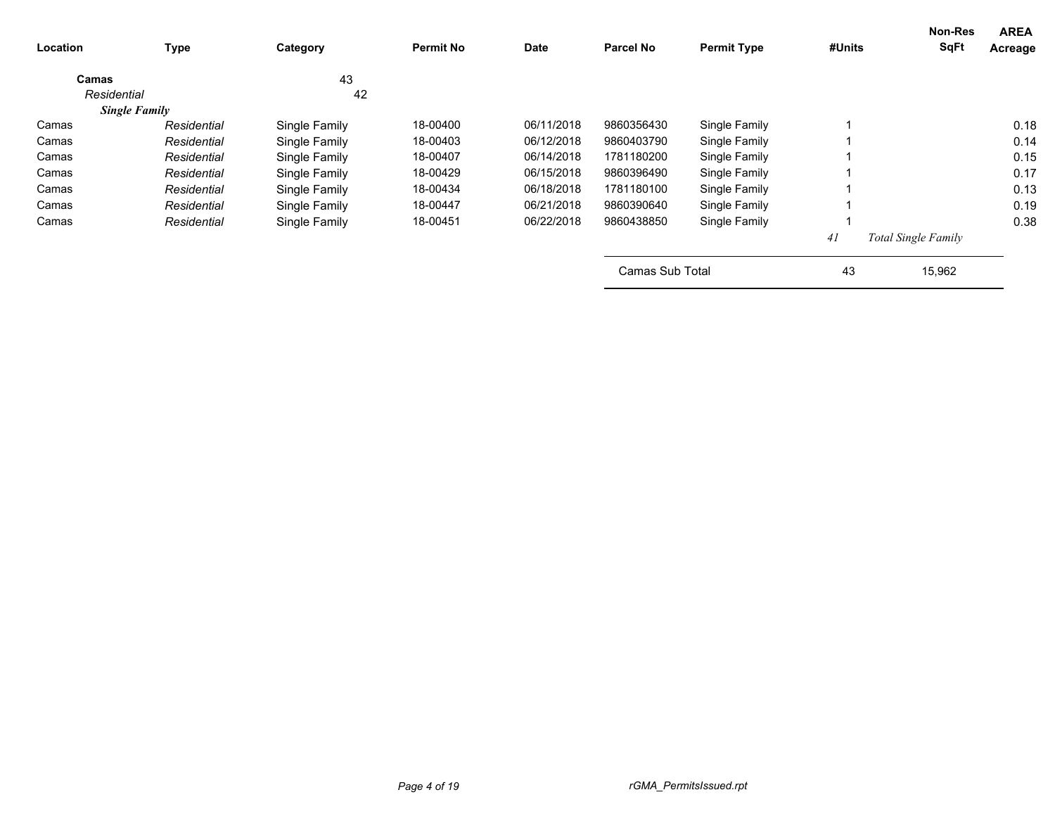| Location             | <b>Type</b> | Category      | <b>Permit No</b> | <b>Date</b> | <b>Parcel No</b> | <b>Permit Type</b> | #Units | Non-Res<br>SqFt            | <b>AREA</b><br>Acreage |
|----------------------|-------------|---------------|------------------|-------------|------------------|--------------------|--------|----------------------------|------------------------|
| Camas                |             | 43            |                  |             |                  |                    |        |                            |                        |
| Residential          |             | 42            |                  |             |                  |                    |        |                            |                        |
| <b>Single Family</b> |             |               |                  |             |                  |                    |        |                            |                        |
| Camas                | Residential | Single Family | 18-00400         | 06/11/2018  | 9860356430       | Single Family      |        |                            | 0.18                   |
| Camas                | Residential | Single Family | 18-00403         | 06/12/2018  | 9860403790       | Single Family      |        |                            | 0.14                   |
| Camas                | Residential | Single Family | 18-00407         | 06/14/2018  | 1781180200       | Single Family      |        |                            | 0.15                   |
| Camas                | Residential | Single Family | 18-00429         | 06/15/2018  | 9860396490       | Single Family      |        |                            | 0.17                   |
| Camas                | Residential | Single Family | 18-00434         | 06/18/2018  | 1781180100       | Single Family      |        |                            | 0.13                   |
| Camas                | Residential | Single Family | 18-00447         | 06/21/2018  | 9860390640       | Single Family      |        |                            | 0.19                   |
| Camas                | Residential | Single Family | 18-00451         | 06/22/2018  | 9860438850       | Single Family      |        |                            | 0.38                   |
|                      |             |               |                  |             |                  |                    | 41     | <b>Total Single Family</b> |                        |
|                      |             |               |                  |             | Camas Sub Total  |                    | 43     | 15,962                     |                        |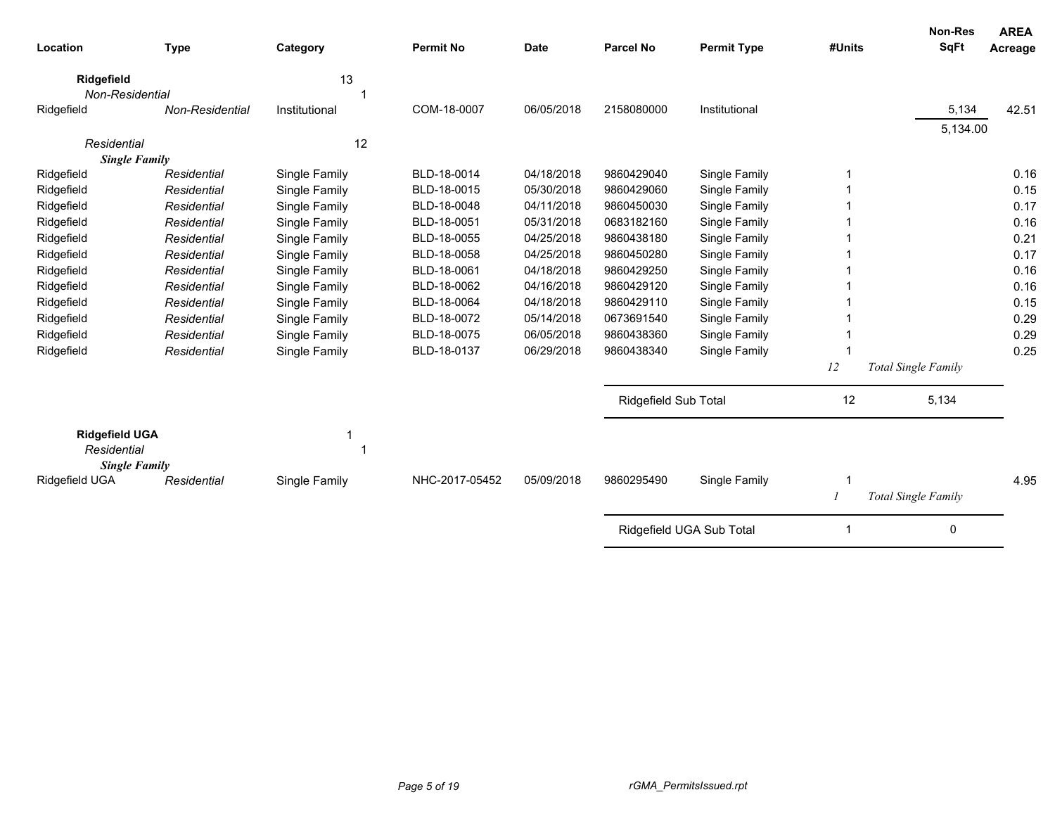| Location                                                     | <b>Type</b>     | Category      | <b>Permit No</b> | <b>Date</b> | <b>Parcel No</b>            | <b>Permit Type</b>       | #Units | <b>Non-Res</b><br><b>SqFt</b> | <b>AREA</b><br>Acreage |
|--------------------------------------------------------------|-----------------|---------------|------------------|-------------|-----------------------------|--------------------------|--------|-------------------------------|------------------------|
| Ridgefield                                                   |                 | 13            |                  |             |                             |                          |        |                               |                        |
| Non-Residential                                              |                 |               |                  |             |                             |                          |        |                               |                        |
| Ridgefield                                                   | Non-Residential | Institutional | COM-18-0007      | 06/05/2018  | 2158080000                  | Institutional            |        | 5,134                         | 42.51                  |
|                                                              |                 |               |                  |             |                             |                          |        | 5,134.00                      |                        |
| Residential                                                  |                 | 12            |                  |             |                             |                          |        |                               |                        |
| <b>Single Family</b>                                         |                 |               |                  | 04/18/2018  | 9860429040                  |                          |        |                               |                        |
| Ridgefield                                                   | Residential     | Single Family | BLD-18-0014      |             |                             | Single Family            |        |                               | 0.16                   |
| Ridgefield                                                   | Residential     | Single Family | BLD-18-0015      | 05/30/2018  | 9860429060                  | Single Family            |        |                               | 0.15                   |
| Ridgefield                                                   | Residential     | Single Family | BLD-18-0048      | 04/11/2018  | 9860450030                  | Single Family            |        |                               | 0.17                   |
| Ridgefield                                                   | Residential     | Single Family | BLD-18-0051      | 05/31/2018  | 0683182160                  | Single Family            |        |                               | 0.16                   |
| Ridgefield                                                   | Residential     | Single Family | BLD-18-0055      | 04/25/2018  | 9860438180                  | Single Family            |        |                               | 0.21                   |
| Ridgefield                                                   | Residential     | Single Family | BLD-18-0058      | 04/25/2018  | 9860450280                  | Single Family            |        |                               | 0.17                   |
| Ridgefield                                                   | Residential     | Single Family | BLD-18-0061      | 04/18/2018  | 9860429250                  | Single Family            |        |                               | 0.16                   |
| Ridgefield                                                   | Residential     | Single Family | BLD-18-0062      | 04/16/2018  | 9860429120                  | Single Family            |        |                               | 0.16                   |
| Ridgefield                                                   | Residential     | Single Family | BLD-18-0064      | 04/18/2018  | 9860429110                  | Single Family            |        |                               | 0.15                   |
| Ridgefield                                                   | Residential     | Single Family | BLD-18-0072      | 05/14/2018  | 0673691540                  | Single Family            |        |                               | 0.29                   |
| Ridgefield                                                   | Residential     | Single Family | BLD-18-0075      | 06/05/2018  | 9860438360                  | Single Family            |        |                               | 0.29                   |
| Ridgefield                                                   | Residential     | Single Family | BLD-18-0137      | 06/29/2018  | 9860438340                  | Single Family            |        |                               | 0.25                   |
|                                                              |                 |               |                  |             |                             |                          | 12     | Total Single Family           |                        |
|                                                              |                 |               |                  |             | <b>Ridgefield Sub Total</b> |                          | 12     | 5,134                         |                        |
| <b>Ridgefield UGA</b><br>Residential<br><b>Single Family</b> |                 | 1             |                  |             |                             |                          |        |                               |                        |
| Ridgefield UGA                                               | Residential     | Single Family | NHC-2017-05452   | 05/09/2018  | 9860295490                  | Single Family            |        |                               | 4.95                   |
|                                                              |                 |               |                  |             |                             |                          |        | Total Single Family           |                        |
|                                                              |                 |               |                  |             |                             | Ridgefield UGA Sub Total |        | 0                             |                        |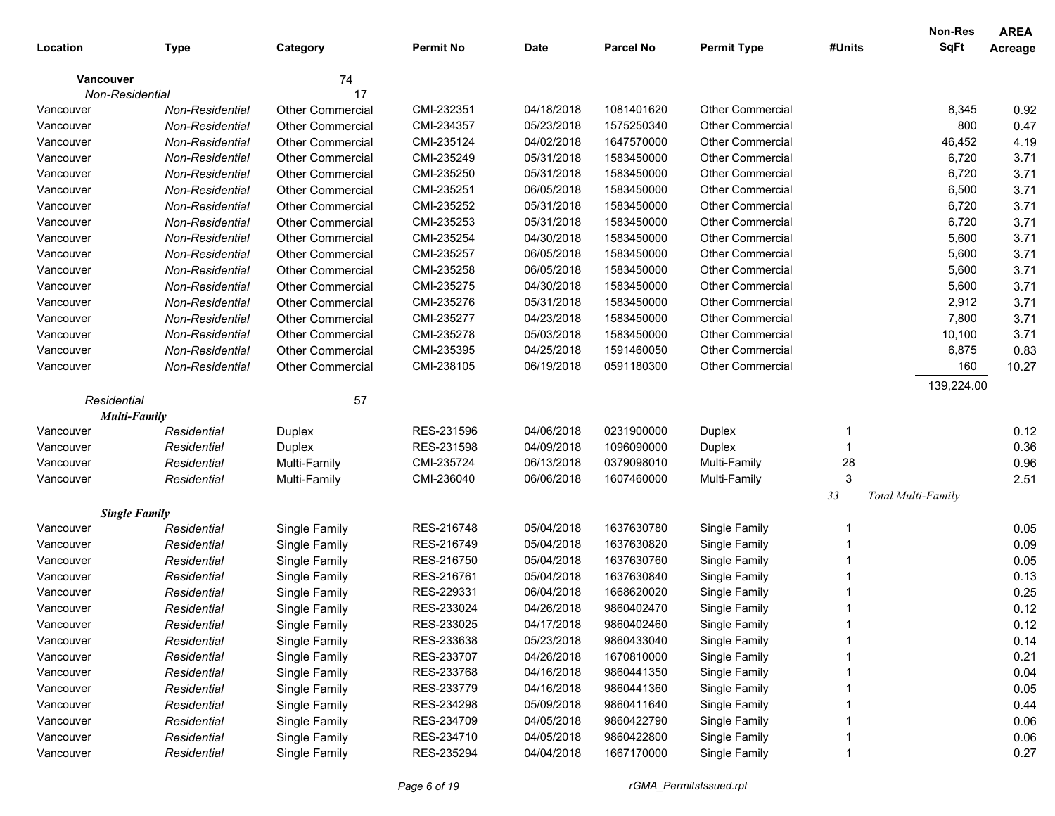|                      |                 |                         |                  |             |                  |                         |        | Non-Res            | <b>AREA</b> |
|----------------------|-----------------|-------------------------|------------------|-------------|------------------|-------------------------|--------|--------------------|-------------|
| Location             | <b>Type</b>     | Category                | <b>Permit No</b> | <b>Date</b> | <b>Parcel No</b> | <b>Permit Type</b>      | #Units | <b>SqFt</b>        | Acreage     |
| <b>Vancouver</b>     |                 | 74                      |                  |             |                  |                         |        |                    |             |
| Non-Residential      |                 | 17                      |                  |             |                  |                         |        |                    |             |
| Vancouver            | Non-Residential | Other Commercial        | CMI-232351       | 04/18/2018  | 1081401620       | <b>Other Commercial</b> |        | 8,345              | 0.92        |
| Vancouver            | Non-Residential | <b>Other Commercial</b> | CMI-234357       | 05/23/2018  | 1575250340       | <b>Other Commercial</b> |        | 800                | 0.47        |
| Vancouver            | Non-Residential | <b>Other Commercial</b> | CMI-235124       | 04/02/2018  | 1647570000       | <b>Other Commercial</b> |        | 46,452             | 4.19        |
| Vancouver            | Non-Residential | <b>Other Commercial</b> | CMI-235249       | 05/31/2018  | 1583450000       | <b>Other Commercial</b> |        | 6,720              | 3.71        |
| Vancouver            | Non-Residential | <b>Other Commercial</b> | CMI-235250       | 05/31/2018  | 1583450000       | <b>Other Commercial</b> |        | 6,720              | 3.71        |
| Vancouver            | Non-Residential | <b>Other Commercial</b> | CMI-235251       | 06/05/2018  | 1583450000       | <b>Other Commercial</b> |        | 6,500              | 3.71        |
| Vancouver            | Non-Residential | <b>Other Commercial</b> | CMI-235252       | 05/31/2018  | 1583450000       | <b>Other Commercial</b> |        | 6,720              | 3.71        |
| Vancouver            | Non-Residential | <b>Other Commercial</b> | CMI-235253       | 05/31/2018  | 1583450000       | <b>Other Commercial</b> |        | 6,720              | 3.71        |
| Vancouver            | Non-Residential | <b>Other Commercial</b> | CMI-235254       | 04/30/2018  | 1583450000       | <b>Other Commercial</b> |        | 5,600              | 3.71        |
| Vancouver            | Non-Residential | <b>Other Commercial</b> | CMI-235257       | 06/05/2018  | 1583450000       | <b>Other Commercial</b> |        | 5,600              | 3.71        |
| Vancouver            | Non-Residential | <b>Other Commercial</b> | CMI-235258       | 06/05/2018  | 1583450000       | <b>Other Commercial</b> |        | 5,600              | 3.71        |
| Vancouver            | Non-Residential | <b>Other Commercial</b> | CMI-235275       | 04/30/2018  | 1583450000       | <b>Other Commercial</b> |        | 5,600              | 3.71        |
| Vancouver            | Non-Residential | <b>Other Commercial</b> | CMI-235276       | 05/31/2018  | 1583450000       | <b>Other Commercial</b> |        | 2,912              | 3.71        |
| Vancouver            | Non-Residential | <b>Other Commercial</b> | CMI-235277       | 04/23/2018  | 1583450000       | <b>Other Commercial</b> |        | 7,800              | 3.71        |
| Vancouver            | Non-Residential | <b>Other Commercial</b> | CMI-235278       | 05/03/2018  | 1583450000       | <b>Other Commercial</b> |        | 10,100             | 3.71        |
| Vancouver            | Non-Residential | <b>Other Commercial</b> | CMI-235395       | 04/25/2018  | 1591460050       | <b>Other Commercial</b> |        | 6,875              | 0.83        |
| Vancouver            | Non-Residential | <b>Other Commercial</b> | CMI-238105       | 06/19/2018  | 0591180300       | Other Commercial        |        | 160                | 10.27       |
|                      |                 |                         |                  |             |                  |                         |        | 139,224.00         |             |
| Residential          |                 | 57                      |                  |             |                  |                         |        |                    |             |
| <b>Multi-Family</b>  |                 |                         |                  |             |                  |                         |        |                    |             |
| Vancouver            | Residential     | Duplex                  | RES-231596       | 04/06/2018  | 0231900000       | Duplex                  | 1      |                    | 0.12        |
| Vancouver            | Residential     | Duplex                  | RES-231598       | 04/09/2018  | 1096090000       | Duplex                  | 1      |                    | 0.36        |
| Vancouver            | Residential     | Multi-Family            | CMI-235724       | 06/13/2018  | 0379098010       | Multi-Family            | 28     |                    | 0.96        |
| Vancouver            | Residential     | Multi-Family            | CMI-236040       | 06/06/2018  | 1607460000       | Multi-Family            | 3      |                    | 2.51        |
|                      |                 |                         |                  |             |                  |                         | 33     | Total Multi-Family |             |
| <b>Single Family</b> |                 |                         |                  |             |                  |                         |        |                    |             |
| Vancouver            | Residential     | Single Family           | RES-216748       | 05/04/2018  | 1637630780       | Single Family           | 1      |                    | 0.05        |
| Vancouver            | Residential     | Single Family           | RES-216749       | 05/04/2018  | 1637630820       | Single Family           |        |                    | 0.09        |
| Vancouver            | Residential     | Single Family           | RES-216750       | 05/04/2018  | 1637630760       | Single Family           |        |                    | 0.05        |
| Vancouver            | Residential     | Single Family           | RES-216761       | 05/04/2018  | 1637630840       | Single Family           |        |                    | 0.13        |
| Vancouver            | Residential     | Single Family           | RES-229331       | 06/04/2018  | 1668620020       | Single Family           |        |                    | 0.25        |
| Vancouver            | Residential     | Single Family           | RES-233024       | 04/26/2018  | 9860402470       | Single Family           |        |                    | 0.12        |
| Vancouver            | Residential     | Single Family           | RES-233025       | 04/17/2018  | 9860402460       | Single Family           |        |                    | 0.12        |
| Vancouver            | Residential     | Single Family           | RES-233638       | 05/23/2018  | 9860433040       | Single Family           |        |                    | 0.14        |
| Vancouver            | Residential     | Single Family           | RES-233707       | 04/26/2018  | 1670810000       | Single Family           |        |                    | 0.21        |
| Vancouver            | Residential     | Single Family           | RES-233768       | 04/16/2018  | 9860441350       | Single Family           |        |                    | 0.04        |
| Vancouver            | Residential     | Single Family           | RES-233779       | 04/16/2018  | 9860441360       | Single Family           |        |                    | 0.05        |
| Vancouver            | Residential     | Single Family           | RES-234298       | 05/09/2018  | 9860411640       | Single Family           |        |                    | 0.44        |
| Vancouver            | Residential     | Single Family           | RES-234709       | 04/05/2018  | 9860422790       | Single Family           |        |                    | 0.06        |
| Vancouver            | Residential     | Single Family           | RES-234710       | 04/05/2018  | 9860422800       | Single Family           |        |                    | 0.06        |
| Vancouver            | Residential     | Single Family           | RES-235294       | 04/04/2018  | 1667170000       | Single Family           |        |                    | 0.27        |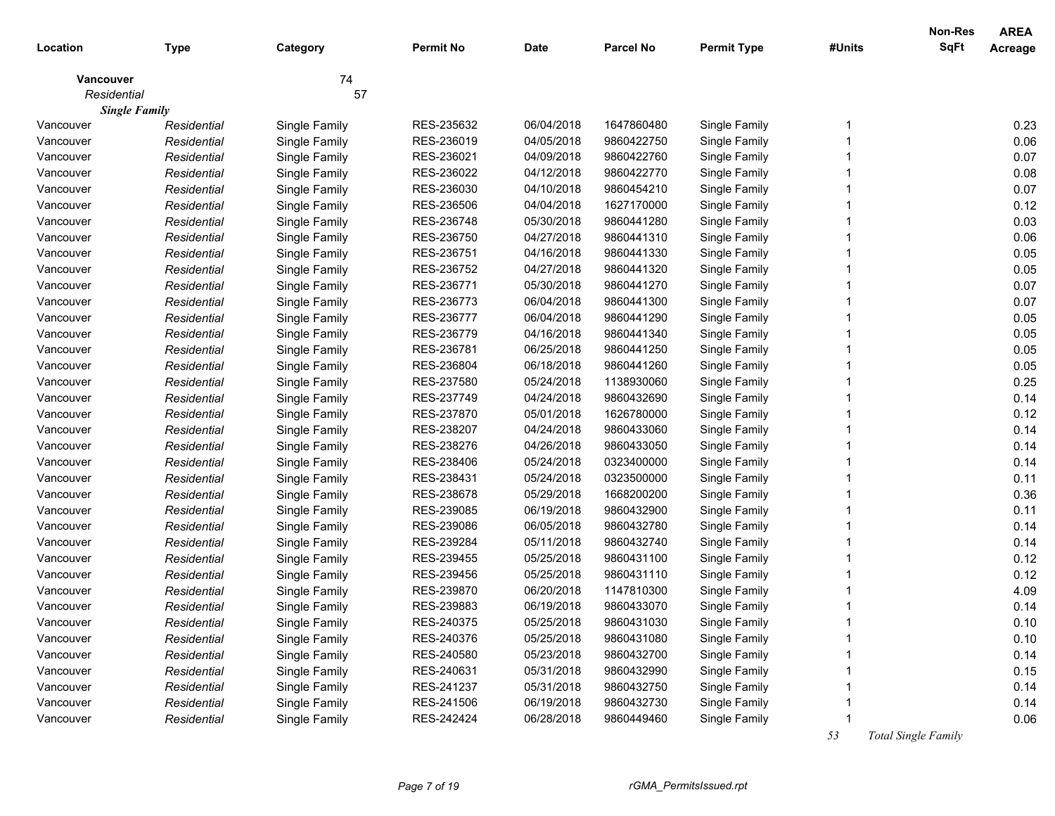|                  |                      |               |                  |             |                  |                    |        | Non-Res     | <b>AREA</b> |
|------------------|----------------------|---------------|------------------|-------------|------------------|--------------------|--------|-------------|-------------|
| Location         | <b>Type</b>          | Category      | <b>Permit No</b> | <b>Date</b> | <b>Parcel No</b> | <b>Permit Type</b> | #Units | <b>SqFt</b> | Acreage     |
| <b>Vancouver</b> |                      | 74            |                  |             |                  |                    |        |             |             |
| Residential      |                      | 57            |                  |             |                  |                    |        |             |             |
|                  | <b>Single Family</b> |               |                  |             |                  |                    |        |             |             |
| Vancouver        | Residential          | Single Family | RES-235632       | 06/04/2018  | 1647860480       | Single Family      |        |             | 0.23        |
| Vancouver        | Residential          | Single Family | RES-236019       | 04/05/2018  | 9860422750       | Single Family      |        |             | 0.06        |
| Vancouver        | Residential          | Single Family | RES-236021       | 04/09/2018  | 9860422760       | Single Family      |        |             | 0.07        |
| Vancouver        | Residential          | Single Family | RES-236022       | 04/12/2018  | 9860422770       | Single Family      |        |             | 0.08        |
| Vancouver        | Residential          | Single Family | RES-236030       | 04/10/2018  | 9860454210       | Single Family      |        |             | 0.07        |
| Vancouver        | Residential          | Single Family | RES-236506       | 04/04/2018  | 1627170000       | Single Family      |        |             | 0.12        |
| Vancouver        | Residential          | Single Family | RES-236748       | 05/30/2018  | 9860441280       | Single Family      |        |             | 0.03        |
| Vancouver        | Residential          | Single Family | RES-236750       | 04/27/2018  | 9860441310       | Single Family      |        |             | 0.06        |
| Vancouver        | Residential          | Single Family | RES-236751       | 04/16/2018  | 9860441330       | Single Family      |        |             | 0.05        |
| Vancouver        | Residential          | Single Family | RES-236752       | 04/27/2018  | 9860441320       | Single Family      |        |             | 0.05        |
| Vancouver        | Residential          | Single Family | RES-236771       | 05/30/2018  | 9860441270       | Single Family      |        |             | 0.07        |
| Vancouver        | Residential          | Single Family | RES-236773       | 06/04/2018  | 9860441300       | Single Family      |        |             | 0.07        |
| Vancouver        | Residential          | Single Family | RES-236777       | 06/04/2018  | 9860441290       | Single Family      |        |             | 0.05        |
| Vancouver        | Residential          | Single Family | RES-236779       | 04/16/2018  | 9860441340       | Single Family      |        |             | 0.05        |
| Vancouver        | Residential          | Single Family | RES-236781       | 06/25/2018  | 9860441250       | Single Family      |        |             | 0.05        |
| Vancouver        | Residential          | Single Family | RES-236804       | 06/18/2018  | 9860441260       | Single Family      |        |             | 0.05        |
| Vancouver        | Residential          | Single Family | RES-237580       | 05/24/2018  | 1138930060       | Single Family      |        |             | 0.25        |
| Vancouver        | Residential          | Single Family | RES-237749       | 04/24/2018  | 9860432690       | Single Family      |        |             | 0.14        |
| Vancouver        | Residential          | Single Family | RES-237870       | 05/01/2018  | 1626780000       | Single Family      |        |             | 0.12        |
| Vancouver        | Residential          | Single Family | RES-238207       | 04/24/2018  | 9860433060       | Single Family      |        |             | 0.14        |
| Vancouver        | Residential          | Single Family | RES-238276       | 04/26/2018  | 9860433050       | Single Family      |        |             | 0.14        |
| Vancouver        | Residential          | Single Family | RES-238406       | 05/24/2018  | 0323400000       | Single Family      |        |             | 0.14        |
| Vancouver        | Residential          | Single Family | RES-238431       | 05/24/2018  | 0323500000       | Single Family      |        |             | 0.11        |
| Vancouver        | Residential          | Single Family | RES-238678       | 05/29/2018  | 1668200200       | Single Family      |        |             | 0.36        |
| Vancouver        | Residential          | Single Family | RES-239085       | 06/19/2018  | 9860432900       | Single Family      |        |             | 0.11        |
| Vancouver        | Residential          | Single Family | RES-239086       | 06/05/2018  | 9860432780       | Single Family      |        |             | 0.14        |
| Vancouver        | Residential          | Single Family | RES-239284       | 05/11/2018  | 9860432740       | Single Family      |        |             | 0.14        |
| Vancouver        | Residential          | Single Family | RES-239455       | 05/25/2018  | 9860431100       | Single Family      |        |             | 0.12        |
| Vancouver        | Residential          | Single Family | RES-239456       | 05/25/2018  | 9860431110       | Single Family      |        |             | 0.12        |
| Vancouver        | Residential          | Single Family | RES-239870       | 06/20/2018  | 1147810300       | Single Family      |        |             | 4.09        |
| Vancouver        | Residential          | Single Family | RES-239883       | 06/19/2018  | 9860433070       | Single Family      |        |             | 0.14        |
| Vancouver        | Residential          | Single Family | RES-240375       | 05/25/2018  | 9860431030       | Single Family      |        |             | 0.10        |
| Vancouver        | Residential          | Single Family | RES-240376       | 05/25/2018  | 9860431080       | Single Family      |        |             | 0.10        |
| Vancouver        | Residential          | Single Family | RES-240580       | 05/23/2018  | 9860432700       | Single Family      |        |             | 0.14        |
| Vancouver        | Residential          | Single Family | RES-240631       | 05/31/2018  | 9860432990       | Single Family      |        |             | 0.15        |
| Vancouver        | Residential          | Single Family | RES-241237       | 05/31/2018  | 9860432750       | Single Family      |        |             | 0.14        |
| Vancouver        | Residential          | Single Family | RES-241506       | 06/19/2018  | 9860432730       | Single Family      |        |             | 0.14        |
| Vancouver        | Residential          | Single Family | RES-242424       | 06/28/2018  | 9860449460       | Single Family      |        |             | 0.06        |

 *53 Total Single Family*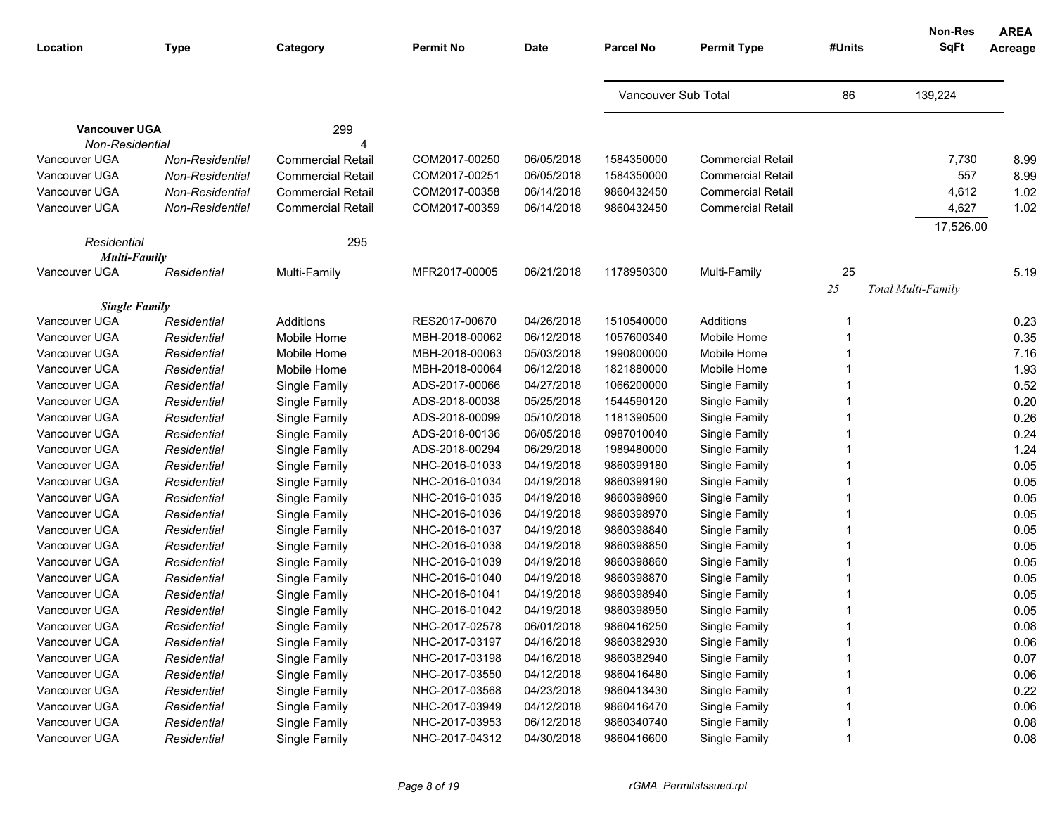| Location                                | <b>Type</b>     | Category                 | <b>Permit No</b> | Date       | <b>Parcel No</b>    | <b>Permit Type</b>       | #Units | <b>Non-Res</b><br><b>SqFt</b> | <b>AREA</b><br>Acreage |
|-----------------------------------------|-----------------|--------------------------|------------------|------------|---------------------|--------------------------|--------|-------------------------------|------------------------|
|                                         |                 |                          |                  |            |                     |                          |        |                               |                        |
|                                         |                 |                          |                  |            | Vancouver Sub Total |                          | 86     | 139,224                       |                        |
| <b>Vancouver UGA</b><br>Non-Residential |                 | 299                      |                  |            |                     |                          |        |                               |                        |
| Vancouver UGA                           | Non-Residential | <b>Commercial Retail</b> | COM2017-00250    | 06/05/2018 | 1584350000          | <b>Commercial Retail</b> |        | 7,730                         | 8.99                   |
| Vancouver UGA                           | Non-Residential | <b>Commercial Retail</b> | COM2017-00251    | 06/05/2018 | 1584350000          | <b>Commercial Retail</b> |        | 557                           | 8.99                   |
| Vancouver UGA                           | Non-Residential | <b>Commercial Retail</b> | COM2017-00358    | 06/14/2018 | 9860432450          | <b>Commercial Retail</b> |        | 4,612                         | 1.02                   |
| Vancouver UGA                           | Non-Residential | <b>Commercial Retail</b> | COM2017-00359    | 06/14/2018 | 9860432450          | <b>Commercial Retail</b> |        | 4,627                         | 1.02                   |
|                                         |                 |                          |                  |            |                     |                          |        | 17,526.00                     |                        |
| Residential                             |                 | 295                      |                  |            |                     |                          |        |                               |                        |
| <b>Multi-Family</b>                     |                 |                          |                  |            |                     |                          |        |                               |                        |
| Vancouver UGA                           | Residential     | Multi-Family             | MFR2017-00005    | 06/21/2018 | 1178950300          | Multi-Family             | 25     |                               | 5.19                   |
|                                         |                 |                          |                  |            |                     |                          | $25\,$ | Total Multi-Family            |                        |
| <b>Single Family</b>                    |                 |                          |                  |            |                     |                          |        |                               |                        |
| Vancouver UGA                           | Residential     | Additions                | RES2017-00670    | 04/26/2018 | 1510540000          | Additions                |        |                               | 0.23                   |
| Vancouver UGA                           | Residential     | Mobile Home              | MBH-2018-00062   | 06/12/2018 | 1057600340          | Mobile Home              |        |                               | 0.35                   |
| Vancouver UGA                           | Residential     | Mobile Home              | MBH-2018-00063   | 05/03/2018 | 1990800000          | Mobile Home              |        |                               | 7.16                   |
| Vancouver UGA                           | Residential     | Mobile Home              | MBH-2018-00064   | 06/12/2018 | 1821880000          | Mobile Home              |        |                               | 1.93                   |
| Vancouver UGA                           | Residential     | Single Family            | ADS-2017-00066   | 04/27/2018 | 1066200000          | Single Family            |        |                               | 0.52                   |
| Vancouver UGA                           | Residential     | Single Family            | ADS-2018-00038   | 05/25/2018 | 1544590120          | Single Family            |        |                               | 0.20                   |
| Vancouver UGA                           | Residential     | Single Family            | ADS-2018-00099   | 05/10/2018 | 1181390500          | Single Family            |        |                               | 0.26                   |
| Vancouver UGA                           | Residential     | Single Family            | ADS-2018-00136   | 06/05/2018 | 0987010040          | Single Family            |        |                               | 0.24                   |
| Vancouver UGA                           | Residential     | Single Family            | ADS-2018-00294   | 06/29/2018 | 1989480000          | Single Family            |        |                               | 1.24                   |
| Vancouver UGA                           | Residential     | Single Family            | NHC-2016-01033   | 04/19/2018 | 9860399180          | Single Family            |        |                               | 0.05                   |
| Vancouver UGA                           | Residential     | Single Family            | NHC-2016-01034   | 04/19/2018 | 9860399190          | Single Family            |        |                               | 0.05                   |
| Vancouver UGA                           | Residential     | Single Family            | NHC-2016-01035   | 04/19/2018 | 9860398960          | Single Family            |        |                               | 0.05                   |
| Vancouver UGA                           | Residential     | Single Family            | NHC-2016-01036   | 04/19/2018 | 9860398970          | Single Family            |        |                               | 0.05                   |
| Vancouver UGA                           | Residential     | Single Family            | NHC-2016-01037   | 04/19/2018 | 9860398840          | Single Family            |        |                               | 0.05                   |
| Vancouver UGA                           | Residential     | Single Family            | NHC-2016-01038   | 04/19/2018 | 9860398850          | Single Family            |        |                               | 0.05                   |
| Vancouver UGA                           | Residential     | Single Family            | NHC-2016-01039   | 04/19/2018 | 9860398860          | Single Family            |        |                               | 0.05                   |
| Vancouver UGA                           | Residential     | Single Family            | NHC-2016-01040   | 04/19/2018 | 9860398870          | Single Family            |        |                               | 0.05                   |
| Vancouver UGA                           | Residential     | Single Family            | NHC-2016-01041   | 04/19/2018 | 9860398940          | Single Family            |        |                               | 0.05                   |
| Vancouver UGA                           | Residential     | Single Family            | NHC-2016-01042   | 04/19/2018 | 9860398950          | Single Family            |        |                               | 0.05                   |
| Vancouver UGA                           | Residential     | Single Family            | NHC-2017-02578   | 06/01/2018 | 9860416250          | Single Family            |        |                               | 0.08                   |
| Vancouver UGA                           | Residential     | Single Family            | NHC-2017-03197   | 04/16/2018 | 9860382930          | Single Family            |        |                               | 0.06                   |
| Vancouver UGA                           | Residential     | Single Family            | NHC-2017-03198   | 04/16/2018 | 9860382940          | Single Family            |        |                               | 0.07                   |
| Vancouver UGA                           | Residential     | Single Family            | NHC-2017-03550   | 04/12/2018 | 9860416480          | Single Family            |        |                               | 0.06                   |
| Vancouver UGA                           | Residential     | Single Family            | NHC-2017-03568   | 04/23/2018 | 9860413430          | Single Family            |        |                               | 0.22                   |
| Vancouver UGA                           | Residential     | Single Family            | NHC-2017-03949   | 04/12/2018 | 9860416470          | Single Family            |        |                               | 0.06                   |
| Vancouver UGA                           | Residential     | Single Family            | NHC-2017-03953   | 06/12/2018 | 9860340740          | Single Family            |        |                               | 0.08                   |
| Vancouver UGA                           | Residential     | Single Family            | NHC-2017-04312   | 04/30/2018 | 9860416600          | Single Family            |        |                               | 0.08                   |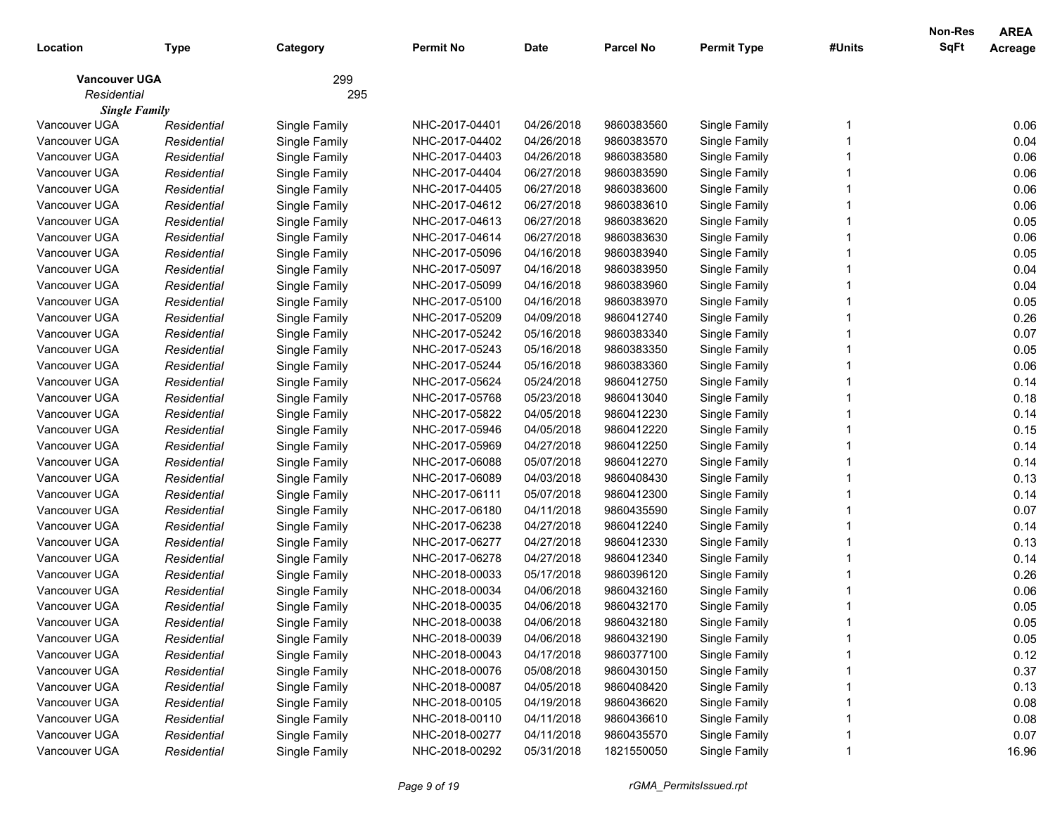|                      |             |               |                |             |                  |                    |        | Non-Res     | <b>AREA</b> |
|----------------------|-------------|---------------|----------------|-------------|------------------|--------------------|--------|-------------|-------------|
| Location             | Type        | Category      | Permit No      | <b>Date</b> | <b>Parcel No</b> | <b>Permit Type</b> | #Units | <b>SqFt</b> | Acreage     |
| <b>Vancouver UGA</b> |             | 299           |                |             |                  |                    |        |             |             |
| Residential          |             | 295           |                |             |                  |                    |        |             |             |
| <b>Single Family</b> |             |               |                |             |                  |                    |        |             |             |
| Vancouver UGA        | Residential | Single Family | NHC-2017-04401 | 04/26/2018  | 9860383560       | Single Family      |        |             | 0.06        |
| Vancouver UGA        | Residential | Single Family | NHC-2017-04402 | 04/26/2018  | 9860383570       | Single Family      |        |             | 0.04        |
| Vancouver UGA        | Residential | Single Family | NHC-2017-04403 | 04/26/2018  | 9860383580       | Single Family      |        |             | 0.06        |
| Vancouver UGA        | Residential | Single Family | NHC-2017-04404 | 06/27/2018  | 9860383590       | Single Family      |        |             | 0.06        |
| Vancouver UGA        | Residential | Single Family | NHC-2017-04405 | 06/27/2018  | 9860383600       | Single Family      |        |             | 0.06        |
| Vancouver UGA        | Residential | Single Family | NHC-2017-04612 | 06/27/2018  | 9860383610       | Single Family      |        |             | 0.06        |
| Vancouver UGA        | Residential | Single Family | NHC-2017-04613 | 06/27/2018  | 9860383620       | Single Family      |        |             | 0.05        |
| Vancouver UGA        | Residential | Single Family | NHC-2017-04614 | 06/27/2018  | 9860383630       | Single Family      |        |             | 0.06        |
| Vancouver UGA        | Residential | Single Family | NHC-2017-05096 | 04/16/2018  | 9860383940       | Single Family      |        |             | 0.05        |
| Vancouver UGA        | Residential | Single Family | NHC-2017-05097 | 04/16/2018  | 9860383950       | Single Family      |        |             | 0.04        |
| Vancouver UGA        | Residential | Single Family | NHC-2017-05099 | 04/16/2018  | 9860383960       | Single Family      |        |             | 0.04        |
| Vancouver UGA        | Residential | Single Family | NHC-2017-05100 | 04/16/2018  | 9860383970       | Single Family      |        |             | 0.05        |
| Vancouver UGA        | Residential | Single Family | NHC-2017-05209 | 04/09/2018  | 9860412740       | Single Family      |        |             | 0.26        |
| Vancouver UGA        | Residential | Single Family | NHC-2017-05242 | 05/16/2018  | 9860383340       | Single Family      |        |             | 0.07        |
| Vancouver UGA        | Residential | Single Family | NHC-2017-05243 | 05/16/2018  | 9860383350       | Single Family      |        |             | 0.05        |
| Vancouver UGA        | Residential | Single Family | NHC-2017-05244 | 05/16/2018  | 9860383360       | Single Family      |        |             | 0.06        |
| Vancouver UGA        | Residential | Single Family | NHC-2017-05624 | 05/24/2018  | 9860412750       | Single Family      |        |             | 0.14        |
| Vancouver UGA        | Residential | Single Family | NHC-2017-05768 | 05/23/2018  | 9860413040       | Single Family      |        |             | 0.18        |
| Vancouver UGA        | Residential | Single Family | NHC-2017-05822 | 04/05/2018  | 9860412230       | Single Family      |        |             | 0.14        |
| Vancouver UGA        | Residential | Single Family | NHC-2017-05946 | 04/05/2018  | 9860412220       | Single Family      |        |             | 0.15        |
| Vancouver UGA        | Residential | Single Family | NHC-2017-05969 | 04/27/2018  | 9860412250       | Single Family      |        |             | 0.14        |
| Vancouver UGA        | Residential | Single Family | NHC-2017-06088 | 05/07/2018  | 9860412270       | Single Family      |        |             | 0.14        |
| Vancouver UGA        | Residential | Single Family | NHC-2017-06089 | 04/03/2018  | 9860408430       | Single Family      |        |             | 0.13        |
| Vancouver UGA        | Residential | Single Family | NHC-2017-06111 | 05/07/2018  | 9860412300       | Single Family      |        |             | 0.14        |
| Vancouver UGA        | Residential | Single Family | NHC-2017-06180 | 04/11/2018  | 9860435590       | Single Family      |        |             | 0.07        |
| Vancouver UGA        | Residential | Single Family | NHC-2017-06238 | 04/27/2018  | 9860412240       | Single Family      |        |             | 0.14        |
| Vancouver UGA        | Residential | Single Family | NHC-2017-06277 | 04/27/2018  | 9860412330       | Single Family      |        |             | 0.13        |
| Vancouver UGA        | Residential | Single Family | NHC-2017-06278 | 04/27/2018  | 9860412340       | Single Family      |        |             | 0.14        |
| Vancouver UGA        | Residential | Single Family | NHC-2018-00033 | 05/17/2018  | 9860396120       | Single Family      |        |             | 0.26        |
| Vancouver UGA        | Residential | Single Family | NHC-2018-00034 | 04/06/2018  | 9860432160       | Single Family      |        |             | 0.06        |
| Vancouver UGA        | Residential | Single Family | NHC-2018-00035 | 04/06/2018  | 9860432170       | Single Family      |        |             | 0.05        |
| Vancouver UGA        | Residential | Single Family | NHC-2018-00038 | 04/06/2018  | 9860432180       | Single Family      |        |             | 0.05        |
| Vancouver UGA        | Residential | Single Family | NHC-2018-00039 | 04/06/2018  | 9860432190       | Single Family      |        |             | 0.05        |
| Vancouver UGA        | Residential | Single Family | NHC-2018-00043 | 04/17/2018  | 9860377100       | Single Family      |        |             | 0.12        |
| Vancouver UGA        | Residential | Single Family | NHC-2018-00076 | 05/08/2018  | 9860430150       | Single Family      |        |             | 0.37        |
| Vancouver UGA        | Residential | Single Family | NHC-2018-00087 | 04/05/2018  | 9860408420       | Single Family      |        |             | 0.13        |
| Vancouver UGA        | Residential | Single Family | NHC-2018-00105 | 04/19/2018  | 9860436620       | Single Family      |        |             | 0.08        |
| Vancouver UGA        | Residential | Single Family | NHC-2018-00110 | 04/11/2018  | 9860436610       | Single Family      |        |             | 0.08        |
| Vancouver UGA        | Residential | Single Family | NHC-2018-00277 | 04/11/2018  | 9860435570       | Single Family      |        |             | 0.07        |
| Vancouver UGA        | Residential | Single Family | NHC-2018-00292 | 05/31/2018  | 1821550050       | Single Family      |        |             | 16.96       |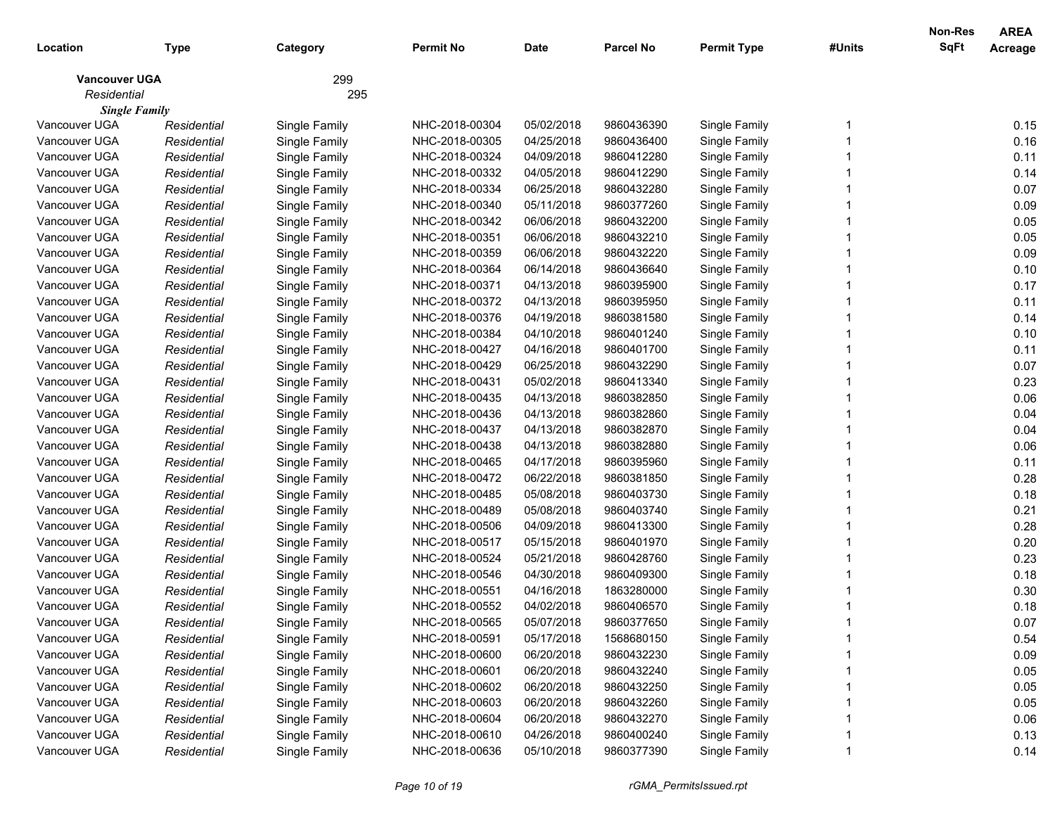|                      |             |               |                |             |                  |                    |        | Non-Res     | <b>AREA</b> |
|----------------------|-------------|---------------|----------------|-------------|------------------|--------------------|--------|-------------|-------------|
| Location             | Type        | Category      | Permit No      | <b>Date</b> | <b>Parcel No</b> | <b>Permit Type</b> | #Units | <b>SqFt</b> | Acreage     |
| <b>Vancouver UGA</b> |             | 299           |                |             |                  |                    |        |             |             |
| Residential          |             | 295           |                |             |                  |                    |        |             |             |
| <b>Single Family</b> |             |               |                |             |                  |                    |        |             |             |
| Vancouver UGA        | Residential | Single Family | NHC-2018-00304 | 05/02/2018  | 9860436390       | Single Family      |        |             | 0.15        |
| Vancouver UGA        | Residential | Single Family | NHC-2018-00305 | 04/25/2018  | 9860436400       | Single Family      |        |             | 0.16        |
| Vancouver UGA        | Residential | Single Family | NHC-2018-00324 | 04/09/2018  | 9860412280       | Single Family      |        |             | 0.11        |
| Vancouver UGA        | Residential | Single Family | NHC-2018-00332 | 04/05/2018  | 9860412290       | Single Family      |        |             | 0.14        |
| Vancouver UGA        | Residential | Single Family | NHC-2018-00334 | 06/25/2018  | 9860432280       | Single Family      |        |             | 0.07        |
| Vancouver UGA        | Residential | Single Family | NHC-2018-00340 | 05/11/2018  | 9860377260       | Single Family      |        |             | 0.09        |
| Vancouver UGA        | Residential | Single Family | NHC-2018-00342 | 06/06/2018  | 9860432200       | Single Family      |        |             | 0.05        |
| Vancouver UGA        | Residential | Single Family | NHC-2018-00351 | 06/06/2018  | 9860432210       | Single Family      |        |             | 0.05        |
| Vancouver UGA        | Residential | Single Family | NHC-2018-00359 | 06/06/2018  | 9860432220       | Single Family      |        |             | 0.09        |
| Vancouver UGA        | Residential | Single Family | NHC-2018-00364 | 06/14/2018  | 9860436640       | Single Family      |        |             | 0.10        |
| Vancouver UGA        | Residential | Single Family | NHC-2018-00371 | 04/13/2018  | 9860395900       | Single Family      |        |             | 0.17        |
| Vancouver UGA        | Residential | Single Family | NHC-2018-00372 | 04/13/2018  | 9860395950       | Single Family      |        |             | 0.11        |
| Vancouver UGA        | Residential | Single Family | NHC-2018-00376 | 04/19/2018  | 9860381580       | Single Family      |        |             | 0.14        |
| Vancouver UGA        | Residential | Single Family | NHC-2018-00384 | 04/10/2018  | 9860401240       | Single Family      |        |             | 0.10        |
| Vancouver UGA        | Residential | Single Family | NHC-2018-00427 | 04/16/2018  | 9860401700       | Single Family      |        |             | 0.11        |
| Vancouver UGA        | Residential | Single Family | NHC-2018-00429 | 06/25/2018  | 9860432290       | Single Family      |        |             | 0.07        |
| Vancouver UGA        | Residential | Single Family | NHC-2018-00431 | 05/02/2018  | 9860413340       | Single Family      |        |             | 0.23        |
| Vancouver UGA        | Residential | Single Family | NHC-2018-00435 | 04/13/2018  | 9860382850       | Single Family      |        |             | 0.06        |
| Vancouver UGA        | Residential | Single Family | NHC-2018-00436 | 04/13/2018  | 9860382860       | Single Family      |        |             | 0.04        |
| Vancouver UGA        | Residential | Single Family | NHC-2018-00437 | 04/13/2018  | 9860382870       | Single Family      |        |             | 0.04        |
| Vancouver UGA        | Residential | Single Family | NHC-2018-00438 | 04/13/2018  | 9860382880       | Single Family      |        |             | 0.06        |
| Vancouver UGA        | Residential | Single Family | NHC-2018-00465 | 04/17/2018  | 9860395960       | Single Family      |        |             | 0.11        |
| Vancouver UGA        | Residential | Single Family | NHC-2018-00472 | 06/22/2018  | 9860381850       | Single Family      |        |             | 0.28        |
| Vancouver UGA        | Residential | Single Family | NHC-2018-00485 | 05/08/2018  | 9860403730       | Single Family      |        |             | 0.18        |
| Vancouver UGA        | Residential | Single Family | NHC-2018-00489 | 05/08/2018  | 9860403740       | Single Family      |        |             | 0.21        |
| Vancouver UGA        | Residential | Single Family | NHC-2018-00506 | 04/09/2018  | 9860413300       | Single Family      |        |             | 0.28        |
| Vancouver UGA        | Residential | Single Family | NHC-2018-00517 | 05/15/2018  | 9860401970       | Single Family      |        |             | 0.20        |
| Vancouver UGA        | Residential | Single Family | NHC-2018-00524 | 05/21/2018  | 9860428760       | Single Family      |        |             | 0.23        |
| Vancouver UGA        | Residential | Single Family | NHC-2018-00546 | 04/30/2018  | 9860409300       | Single Family      |        |             | 0.18        |
| Vancouver UGA        | Residential | Single Family | NHC-2018-00551 | 04/16/2018  | 1863280000       | Single Family      |        |             | 0.30        |
| Vancouver UGA        | Residential | Single Family | NHC-2018-00552 | 04/02/2018  | 9860406570       | Single Family      |        |             | 0.18        |
| Vancouver UGA        | Residential | Single Family | NHC-2018-00565 | 05/07/2018  | 9860377650       | Single Family      |        |             | 0.07        |
| Vancouver UGA        | Residential | Single Family | NHC-2018-00591 | 05/17/2018  | 1568680150       | Single Family      |        |             | 0.54        |
| Vancouver UGA        | Residential | Single Family | NHC-2018-00600 | 06/20/2018  | 9860432230       | Single Family      |        |             | 0.09        |
| Vancouver UGA        | Residential | Single Family | NHC-2018-00601 | 06/20/2018  | 9860432240       | Single Family      |        |             | 0.05        |
| Vancouver UGA        | Residential | Single Family | NHC-2018-00602 | 06/20/2018  | 9860432250       | Single Family      |        |             | 0.05        |
| Vancouver UGA        | Residential | Single Family | NHC-2018-00603 | 06/20/2018  | 9860432260       | Single Family      |        |             | 0.05        |
| Vancouver UGA        | Residential | Single Family | NHC-2018-00604 | 06/20/2018  | 9860432270       | Single Family      |        |             | 0.06        |
| Vancouver UGA        | Residential | Single Family | NHC-2018-00610 | 04/26/2018  | 9860400240       | Single Family      |        |             | 0.13        |
| Vancouver UGA        | Residential | Single Family | NHC-2018-00636 | 05/10/2018  | 9860377390       | Single Family      |        |             | 0.14        |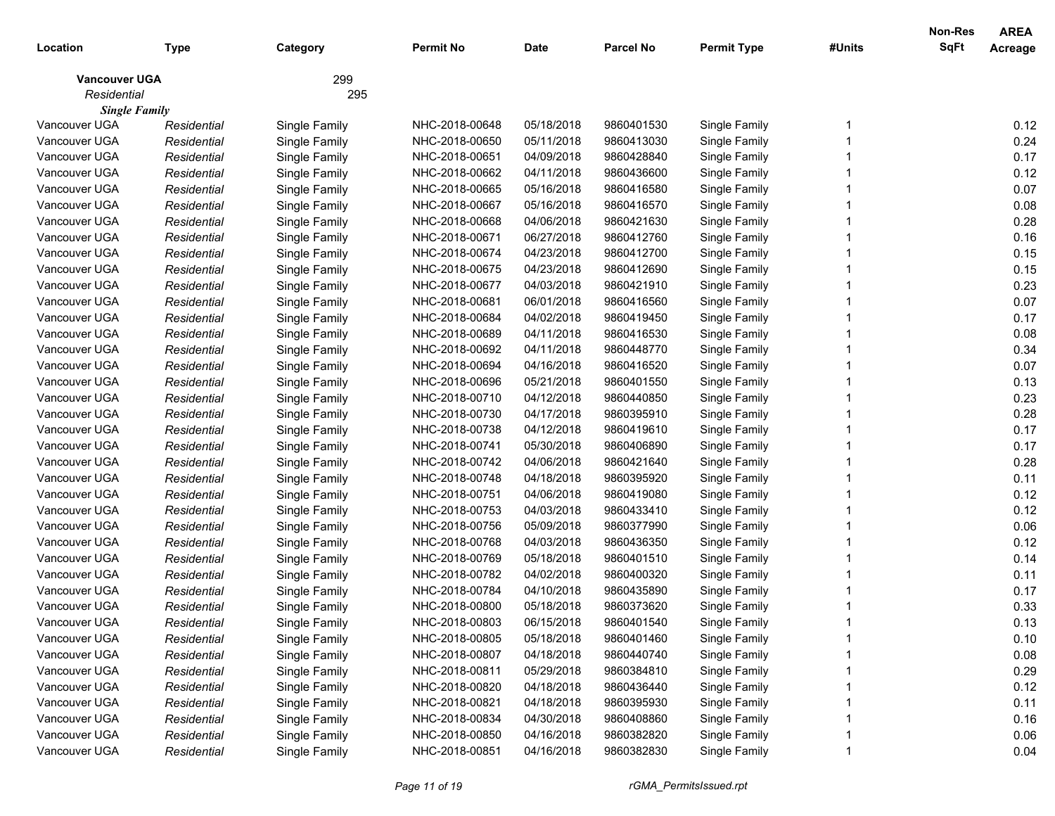|                      |             |               |                |             |                  |                    |        | Non-Res     | <b>AREA</b> |
|----------------------|-------------|---------------|----------------|-------------|------------------|--------------------|--------|-------------|-------------|
| Location             | Type        | Category      | Permit No      | <b>Date</b> | <b>Parcel No</b> | <b>Permit Type</b> | #Units | <b>SqFt</b> | Acreage     |
| <b>Vancouver UGA</b> |             | 299           |                |             |                  |                    |        |             |             |
| Residential          |             | 295           |                |             |                  |                    |        |             |             |
| <b>Single Family</b> |             |               |                |             |                  |                    |        |             |             |
| Vancouver UGA        | Residential | Single Family | NHC-2018-00648 | 05/18/2018  | 9860401530       | Single Family      |        |             | 0.12        |
| Vancouver UGA        | Residential | Single Family | NHC-2018-00650 | 05/11/2018  | 9860413030       | Single Family      |        |             | 0.24        |
| Vancouver UGA        | Residential | Single Family | NHC-2018-00651 | 04/09/2018  | 9860428840       | Single Family      |        |             | 0.17        |
| Vancouver UGA        | Residential | Single Family | NHC-2018-00662 | 04/11/2018  | 9860436600       | Single Family      |        |             | 0.12        |
| Vancouver UGA        | Residential | Single Family | NHC-2018-00665 | 05/16/2018  | 9860416580       | Single Family      |        |             | 0.07        |
| Vancouver UGA        | Residential | Single Family | NHC-2018-00667 | 05/16/2018  | 9860416570       | Single Family      |        |             | 0.08        |
| Vancouver UGA        | Residential | Single Family | NHC-2018-00668 | 04/06/2018  | 9860421630       | Single Family      |        |             | 0.28        |
| Vancouver UGA        | Residential | Single Family | NHC-2018-00671 | 06/27/2018  | 9860412760       | Single Family      |        |             | 0.16        |
| Vancouver UGA        | Residential | Single Family | NHC-2018-00674 | 04/23/2018  | 9860412700       | Single Family      |        |             | 0.15        |
| Vancouver UGA        | Residential | Single Family | NHC-2018-00675 | 04/23/2018  | 9860412690       | Single Family      |        |             | 0.15        |
| Vancouver UGA        | Residential | Single Family | NHC-2018-00677 | 04/03/2018  | 9860421910       | Single Family      |        |             | 0.23        |
| Vancouver UGA        | Residential | Single Family | NHC-2018-00681 | 06/01/2018  | 9860416560       | Single Family      |        |             | 0.07        |
| Vancouver UGA        | Residential | Single Family | NHC-2018-00684 | 04/02/2018  | 9860419450       | Single Family      |        |             | 0.17        |
| Vancouver UGA        | Residential | Single Family | NHC-2018-00689 | 04/11/2018  | 9860416530       | Single Family      |        |             | 0.08        |
| Vancouver UGA        | Residential | Single Family | NHC-2018-00692 | 04/11/2018  | 9860448770       | Single Family      |        |             | 0.34        |
| Vancouver UGA        | Residential | Single Family | NHC-2018-00694 | 04/16/2018  | 9860416520       | Single Family      |        |             | 0.07        |
| Vancouver UGA        | Residential | Single Family | NHC-2018-00696 | 05/21/2018  | 9860401550       | Single Family      |        |             | 0.13        |
| Vancouver UGA        | Residential | Single Family | NHC-2018-00710 | 04/12/2018  | 9860440850       | Single Family      |        |             | 0.23        |
| Vancouver UGA        | Residential | Single Family | NHC-2018-00730 | 04/17/2018  | 9860395910       | Single Family      |        |             | 0.28        |
| Vancouver UGA        | Residential | Single Family | NHC-2018-00738 | 04/12/2018  | 9860419610       | Single Family      |        |             | 0.17        |
| Vancouver UGA        | Residential | Single Family | NHC-2018-00741 | 05/30/2018  | 9860406890       | Single Family      |        |             | 0.17        |
| Vancouver UGA        | Residential | Single Family | NHC-2018-00742 | 04/06/2018  | 9860421640       | Single Family      |        |             | 0.28        |
| Vancouver UGA        | Residential | Single Family | NHC-2018-00748 | 04/18/2018  | 9860395920       | Single Family      |        |             | 0.11        |
| Vancouver UGA        | Residential | Single Family | NHC-2018-00751 | 04/06/2018  | 9860419080       | Single Family      |        |             | 0.12        |
| Vancouver UGA        | Residential | Single Family | NHC-2018-00753 | 04/03/2018  | 9860433410       | Single Family      |        |             | 0.12        |
| Vancouver UGA        | Residential | Single Family | NHC-2018-00756 | 05/09/2018  | 9860377990       | Single Family      |        |             | 0.06        |
| Vancouver UGA        | Residential | Single Family | NHC-2018-00768 | 04/03/2018  | 9860436350       | Single Family      |        |             | 0.12        |
| Vancouver UGA        | Residential | Single Family | NHC-2018-00769 | 05/18/2018  | 9860401510       | Single Family      |        |             | 0.14        |
| Vancouver UGA        | Residential | Single Family | NHC-2018-00782 | 04/02/2018  | 9860400320       | Single Family      |        |             | 0.11        |
| Vancouver UGA        | Residential | Single Family | NHC-2018-00784 | 04/10/2018  | 9860435890       | Single Family      |        |             | 0.17        |
| Vancouver UGA        | Residential | Single Family | NHC-2018-00800 | 05/18/2018  | 9860373620       | Single Family      |        |             | 0.33        |
| Vancouver UGA        | Residential | Single Family | NHC-2018-00803 | 06/15/2018  | 9860401540       | Single Family      |        |             | 0.13        |
| Vancouver UGA        | Residential | Single Family | NHC-2018-00805 | 05/18/2018  | 9860401460       | Single Family      |        |             | 0.10        |
| Vancouver UGA        | Residential | Single Family | NHC-2018-00807 | 04/18/2018  | 9860440740       | Single Family      |        |             | 0.08        |
| Vancouver UGA        | Residential | Single Family | NHC-2018-00811 | 05/29/2018  | 9860384810       | Single Family      |        |             | 0.29        |
| Vancouver UGA        | Residential | Single Family | NHC-2018-00820 | 04/18/2018  | 9860436440       | Single Family      |        |             | 0.12        |
| Vancouver UGA        | Residential | Single Family | NHC-2018-00821 | 04/18/2018  | 9860395930       | Single Family      |        |             | 0.11        |
| Vancouver UGA        | Residential | Single Family | NHC-2018-00834 | 04/30/2018  | 9860408860       | Single Family      |        |             | 0.16        |
| Vancouver UGA        | Residential | Single Family | NHC-2018-00850 | 04/16/2018  | 9860382820       | Single Family      |        |             | 0.06        |
| Vancouver UGA        | Residential | Single Family | NHC-2018-00851 | 04/16/2018  | 9860382830       | Single Family      |        |             | 0.04        |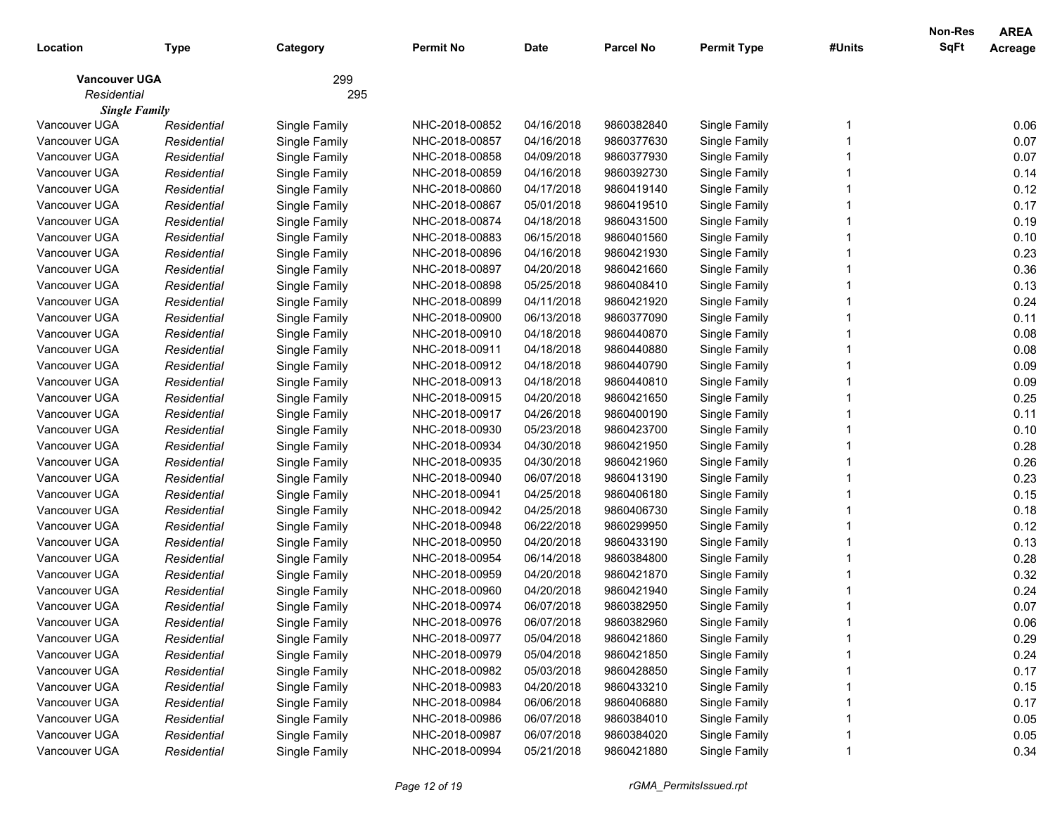|                      |             |               |                |             |                  |                    |        | Non-Res     | <b>AREA</b> |
|----------------------|-------------|---------------|----------------|-------------|------------------|--------------------|--------|-------------|-------------|
| Location             | Type        | Category      | Permit No      | <b>Date</b> | <b>Parcel No</b> | <b>Permit Type</b> | #Units | <b>SqFt</b> | Acreage     |
| <b>Vancouver UGA</b> |             | 299           |                |             |                  |                    |        |             |             |
| Residential          |             | 295           |                |             |                  |                    |        |             |             |
| <b>Single Family</b> |             |               |                |             |                  |                    |        |             |             |
| Vancouver UGA        | Residential | Single Family | NHC-2018-00852 | 04/16/2018  | 9860382840       | Single Family      |        |             | 0.06        |
| Vancouver UGA        | Residential | Single Family | NHC-2018-00857 | 04/16/2018  | 9860377630       | Single Family      |        |             | 0.07        |
| Vancouver UGA        | Residential | Single Family | NHC-2018-00858 | 04/09/2018  | 9860377930       | Single Family      |        |             | 0.07        |
| Vancouver UGA        | Residential | Single Family | NHC-2018-00859 | 04/16/2018  | 9860392730       | Single Family      |        |             | 0.14        |
| Vancouver UGA        | Residential | Single Family | NHC-2018-00860 | 04/17/2018  | 9860419140       | Single Family      |        |             | 0.12        |
| Vancouver UGA        | Residential | Single Family | NHC-2018-00867 | 05/01/2018  | 9860419510       | Single Family      |        |             | 0.17        |
| Vancouver UGA        | Residential | Single Family | NHC-2018-00874 | 04/18/2018  | 9860431500       | Single Family      |        |             | 0.19        |
| Vancouver UGA        | Residential | Single Family | NHC-2018-00883 | 06/15/2018  | 9860401560       | Single Family      |        |             | 0.10        |
| Vancouver UGA        | Residential | Single Family | NHC-2018-00896 | 04/16/2018  | 9860421930       | Single Family      |        |             | 0.23        |
| Vancouver UGA        | Residential | Single Family | NHC-2018-00897 | 04/20/2018  | 9860421660       | Single Family      |        |             | 0.36        |
| Vancouver UGA        | Residential | Single Family | NHC-2018-00898 | 05/25/2018  | 9860408410       | Single Family      |        |             | 0.13        |
| Vancouver UGA        | Residential | Single Family | NHC-2018-00899 | 04/11/2018  | 9860421920       | Single Family      |        |             | 0.24        |
| Vancouver UGA        | Residential | Single Family | NHC-2018-00900 | 06/13/2018  | 9860377090       | Single Family      |        |             | 0.11        |
| Vancouver UGA        | Residential | Single Family | NHC-2018-00910 | 04/18/2018  | 9860440870       | Single Family      |        |             | 0.08        |
| Vancouver UGA        | Residential | Single Family | NHC-2018-00911 | 04/18/2018  | 9860440880       | Single Family      |        |             | 0.08        |
| Vancouver UGA        | Residential | Single Family | NHC-2018-00912 | 04/18/2018  | 9860440790       | Single Family      |        |             | 0.09        |
| Vancouver UGA        | Residential | Single Family | NHC-2018-00913 | 04/18/2018  | 9860440810       | Single Family      |        |             | 0.09        |
| Vancouver UGA        | Residential | Single Family | NHC-2018-00915 | 04/20/2018  | 9860421650       | Single Family      |        |             | 0.25        |
| Vancouver UGA        | Residential | Single Family | NHC-2018-00917 | 04/26/2018  | 9860400190       | Single Family      |        |             | 0.11        |
| Vancouver UGA        | Residential | Single Family | NHC-2018-00930 | 05/23/2018  | 9860423700       | Single Family      |        |             | 0.10        |
| Vancouver UGA        | Residential | Single Family | NHC-2018-00934 | 04/30/2018  | 9860421950       | Single Family      |        |             | 0.28        |
| Vancouver UGA        | Residential | Single Family | NHC-2018-00935 | 04/30/2018  | 9860421960       | Single Family      |        |             | 0.26        |
| Vancouver UGA        | Residential | Single Family | NHC-2018-00940 | 06/07/2018  | 9860413190       | Single Family      |        |             | 0.23        |
| Vancouver UGA        | Residential | Single Family | NHC-2018-00941 | 04/25/2018  | 9860406180       | Single Family      |        |             | 0.15        |
| Vancouver UGA        | Residential | Single Family | NHC-2018-00942 | 04/25/2018  | 9860406730       | Single Family      |        |             | 0.18        |
| Vancouver UGA        | Residential | Single Family | NHC-2018-00948 | 06/22/2018  | 9860299950       | Single Family      |        |             | 0.12        |
| Vancouver UGA        | Residential | Single Family | NHC-2018-00950 | 04/20/2018  | 9860433190       | Single Family      |        |             | 0.13        |
| Vancouver UGA        | Residential | Single Family | NHC-2018-00954 | 06/14/2018  | 9860384800       | Single Family      |        |             | 0.28        |
| Vancouver UGA        | Residential | Single Family | NHC-2018-00959 | 04/20/2018  | 9860421870       | Single Family      |        |             | 0.32        |
| Vancouver UGA        | Residential | Single Family | NHC-2018-00960 | 04/20/2018  | 9860421940       | Single Family      |        |             | 0.24        |
| Vancouver UGA        | Residential | Single Family | NHC-2018-00974 | 06/07/2018  | 9860382950       | Single Family      |        |             | 0.07        |
| Vancouver UGA        | Residential | Single Family | NHC-2018-00976 | 06/07/2018  | 9860382960       | Single Family      |        |             | 0.06        |
| Vancouver UGA        | Residential | Single Family | NHC-2018-00977 | 05/04/2018  | 9860421860       | Single Family      |        |             | 0.29        |
| Vancouver UGA        | Residential | Single Family | NHC-2018-00979 | 05/04/2018  | 9860421850       | Single Family      |        |             | 0.24        |
| Vancouver UGA        | Residential | Single Family | NHC-2018-00982 | 05/03/2018  | 9860428850       | Single Family      |        |             | 0.17        |
| Vancouver UGA        | Residential | Single Family | NHC-2018-00983 | 04/20/2018  | 9860433210       | Single Family      |        |             | 0.15        |
| Vancouver UGA        | Residential | Single Family | NHC-2018-00984 | 06/06/2018  | 9860406880       | Single Family      |        |             | 0.17        |
| Vancouver UGA        | Residential | Single Family | NHC-2018-00986 | 06/07/2018  | 9860384010       | Single Family      |        |             | 0.05        |
| Vancouver UGA        | Residential | Single Family | NHC-2018-00987 | 06/07/2018  | 9860384020       | Single Family      |        |             | 0.05        |
| Vancouver UGA        | Residential | Single Family | NHC-2018-00994 | 05/21/2018  | 9860421880       | Single Family      |        |             | 0.34        |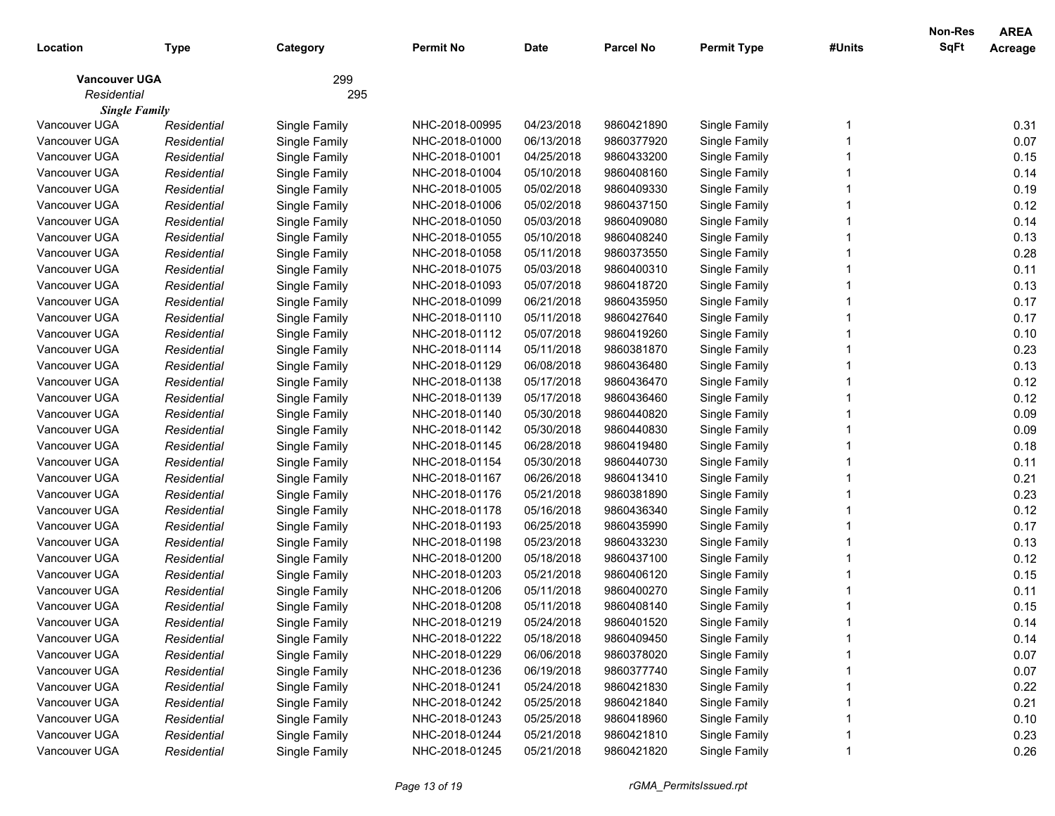|                      |             |               |                |             |                  |                    |        | Non-Res     | <b>AREA</b> |
|----------------------|-------------|---------------|----------------|-------------|------------------|--------------------|--------|-------------|-------------|
| Location             | Type        | Category      | Permit No      | <b>Date</b> | <b>Parcel No</b> | <b>Permit Type</b> | #Units | <b>SqFt</b> | Acreage     |
| <b>Vancouver UGA</b> |             | 299           |                |             |                  |                    |        |             |             |
| Residential          |             | 295           |                |             |                  |                    |        |             |             |
| <b>Single Family</b> |             |               |                |             |                  |                    |        |             |             |
| Vancouver UGA        | Residential | Single Family | NHC-2018-00995 | 04/23/2018  | 9860421890       | Single Family      |        |             | 0.31        |
| Vancouver UGA        | Residential | Single Family | NHC-2018-01000 | 06/13/2018  | 9860377920       | Single Family      |        |             | 0.07        |
| Vancouver UGA        | Residential | Single Family | NHC-2018-01001 | 04/25/2018  | 9860433200       | Single Family      |        |             | 0.15        |
| Vancouver UGA        | Residential | Single Family | NHC-2018-01004 | 05/10/2018  | 9860408160       | Single Family      |        |             | 0.14        |
| Vancouver UGA        | Residential | Single Family | NHC-2018-01005 | 05/02/2018  | 9860409330       | Single Family      |        |             | 0.19        |
| Vancouver UGA        | Residential | Single Family | NHC-2018-01006 | 05/02/2018  | 9860437150       | Single Family      |        |             | 0.12        |
| Vancouver UGA        | Residential | Single Family | NHC-2018-01050 | 05/03/2018  | 9860409080       | Single Family      |        |             | 0.14        |
| Vancouver UGA        | Residential | Single Family | NHC-2018-01055 | 05/10/2018  | 9860408240       | Single Family      |        |             | 0.13        |
| Vancouver UGA        | Residential | Single Family | NHC-2018-01058 | 05/11/2018  | 9860373550       | Single Family      |        |             | 0.28        |
| Vancouver UGA        | Residential | Single Family | NHC-2018-01075 | 05/03/2018  | 9860400310       | Single Family      |        |             | 0.11        |
| Vancouver UGA        | Residential | Single Family | NHC-2018-01093 | 05/07/2018  | 9860418720       | Single Family      |        |             | 0.13        |
| Vancouver UGA        | Residential | Single Family | NHC-2018-01099 | 06/21/2018  | 9860435950       | Single Family      |        |             | 0.17        |
| Vancouver UGA        | Residential | Single Family | NHC-2018-01110 | 05/11/2018  | 9860427640       | Single Family      |        |             | 0.17        |
| Vancouver UGA        | Residential | Single Family | NHC-2018-01112 | 05/07/2018  | 9860419260       | Single Family      |        |             | 0.10        |
| Vancouver UGA        | Residential | Single Family | NHC-2018-01114 | 05/11/2018  | 9860381870       | Single Family      |        |             | 0.23        |
| Vancouver UGA        | Residential | Single Family | NHC-2018-01129 | 06/08/2018  | 9860436480       | Single Family      |        |             | 0.13        |
| Vancouver UGA        | Residential | Single Family | NHC-2018-01138 | 05/17/2018  | 9860436470       | Single Family      |        |             | 0.12        |
| Vancouver UGA        | Residential | Single Family | NHC-2018-01139 | 05/17/2018  | 9860436460       | Single Family      |        |             | 0.12        |
| Vancouver UGA        | Residential | Single Family | NHC-2018-01140 | 05/30/2018  | 9860440820       | Single Family      |        |             | 0.09        |
| Vancouver UGA        | Residential | Single Family | NHC-2018-01142 | 05/30/2018  | 9860440830       | Single Family      |        |             | 0.09        |
| Vancouver UGA        | Residential | Single Family | NHC-2018-01145 | 06/28/2018  | 9860419480       | Single Family      |        |             | 0.18        |
| Vancouver UGA        | Residential | Single Family | NHC-2018-01154 | 05/30/2018  | 9860440730       | Single Family      |        |             | 0.11        |
| Vancouver UGA        | Residential | Single Family | NHC-2018-01167 | 06/26/2018  | 9860413410       | Single Family      |        |             | 0.21        |
| Vancouver UGA        | Residential | Single Family | NHC-2018-01176 | 05/21/2018  | 9860381890       | Single Family      |        |             | 0.23        |
| Vancouver UGA        | Residential | Single Family | NHC-2018-01178 | 05/16/2018  | 9860436340       | Single Family      |        |             | 0.12        |
| Vancouver UGA        | Residential | Single Family | NHC-2018-01193 | 06/25/2018  | 9860435990       | Single Family      |        |             | 0.17        |
| Vancouver UGA        | Residential | Single Family | NHC-2018-01198 | 05/23/2018  | 9860433230       | Single Family      |        |             | 0.13        |
| Vancouver UGA        | Residential | Single Family | NHC-2018-01200 | 05/18/2018  | 9860437100       | Single Family      |        |             | 0.12        |
| Vancouver UGA        | Residential | Single Family | NHC-2018-01203 | 05/21/2018  | 9860406120       | Single Family      |        |             | 0.15        |
| Vancouver UGA        | Residential | Single Family | NHC-2018-01206 | 05/11/2018  | 9860400270       | Single Family      |        |             | 0.11        |
| Vancouver UGA        | Residential | Single Family | NHC-2018-01208 | 05/11/2018  | 9860408140       | Single Family      |        |             | 0.15        |
| Vancouver UGA        | Residential | Single Family | NHC-2018-01219 | 05/24/2018  | 9860401520       | Single Family      |        |             | 0.14        |
| Vancouver UGA        | Residential | Single Family | NHC-2018-01222 | 05/18/2018  | 9860409450       | Single Family      |        |             | 0.14        |
| Vancouver UGA        | Residential | Single Family | NHC-2018-01229 | 06/06/2018  | 9860378020       | Single Family      |        |             | 0.07        |
| Vancouver UGA        | Residential | Single Family | NHC-2018-01236 | 06/19/2018  | 9860377740       | Single Family      |        |             | 0.07        |
| Vancouver UGA        | Residential | Single Family | NHC-2018-01241 | 05/24/2018  | 9860421830       | Single Family      |        |             | 0.22        |
| Vancouver UGA        | Residential | Single Family | NHC-2018-01242 | 05/25/2018  | 9860421840       | Single Family      |        |             | 0.21        |
| Vancouver UGA        | Residential | Single Family | NHC-2018-01243 | 05/25/2018  | 9860418960       | Single Family      |        |             | 0.10        |
| Vancouver UGA        | Residential | Single Family | NHC-2018-01244 | 05/21/2018  | 9860421810       | Single Family      |        |             | 0.23        |
| Vancouver UGA        | Residential | Single Family | NHC-2018-01245 | 05/21/2018  | 9860421820       | Single Family      |        |             | 0.26        |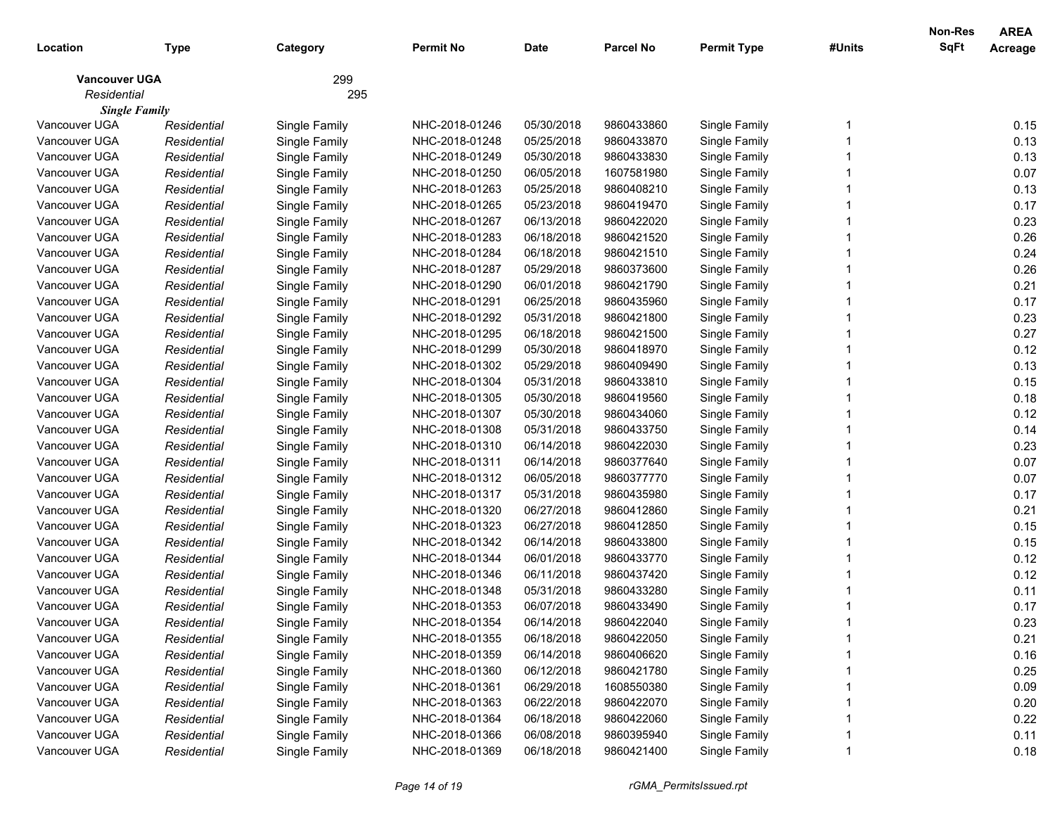|                      |             |               |                |             |                  |                    |        | Non-Res     | <b>AREA</b> |
|----------------------|-------------|---------------|----------------|-------------|------------------|--------------------|--------|-------------|-------------|
| Location             | Type        | Category      | Permit No      | <b>Date</b> | <b>Parcel No</b> | <b>Permit Type</b> | #Units | <b>SqFt</b> | Acreage     |
| <b>Vancouver UGA</b> |             | 299           |                |             |                  |                    |        |             |             |
| Residential          |             | 295           |                |             |                  |                    |        |             |             |
| <b>Single Family</b> |             |               |                |             |                  |                    |        |             |             |
| Vancouver UGA        | Residential | Single Family | NHC-2018-01246 | 05/30/2018  | 9860433860       | Single Family      |        |             | 0.15        |
| Vancouver UGA        | Residential | Single Family | NHC-2018-01248 | 05/25/2018  | 9860433870       | Single Family      |        |             | 0.13        |
| Vancouver UGA        | Residential | Single Family | NHC-2018-01249 | 05/30/2018  | 9860433830       | Single Family      |        |             | 0.13        |
| Vancouver UGA        | Residential | Single Family | NHC-2018-01250 | 06/05/2018  | 1607581980       | Single Family      |        |             | 0.07        |
| Vancouver UGA        | Residential | Single Family | NHC-2018-01263 | 05/25/2018  | 9860408210       | Single Family      |        |             | 0.13        |
| Vancouver UGA        | Residential | Single Family | NHC-2018-01265 | 05/23/2018  | 9860419470       | Single Family      |        |             | 0.17        |
| Vancouver UGA        | Residential | Single Family | NHC-2018-01267 | 06/13/2018  | 9860422020       | Single Family      |        |             | 0.23        |
| Vancouver UGA        | Residential | Single Family | NHC-2018-01283 | 06/18/2018  | 9860421520       | Single Family      |        |             | 0.26        |
| Vancouver UGA        | Residential | Single Family | NHC-2018-01284 | 06/18/2018  | 9860421510       | Single Family      |        |             | 0.24        |
| Vancouver UGA        | Residential | Single Family | NHC-2018-01287 | 05/29/2018  | 9860373600       | Single Family      |        |             | 0.26        |
| Vancouver UGA        | Residential | Single Family | NHC-2018-01290 | 06/01/2018  | 9860421790       | Single Family      |        |             | 0.21        |
| Vancouver UGA        | Residential | Single Family | NHC-2018-01291 | 06/25/2018  | 9860435960       | Single Family      |        |             | 0.17        |
| Vancouver UGA        | Residential | Single Family | NHC-2018-01292 | 05/31/2018  | 9860421800       | Single Family      |        |             | 0.23        |
| Vancouver UGA        | Residential | Single Family | NHC-2018-01295 | 06/18/2018  | 9860421500       | Single Family      |        |             | 0.27        |
| Vancouver UGA        | Residential | Single Family | NHC-2018-01299 | 05/30/2018  | 9860418970       | Single Family      |        |             | 0.12        |
| Vancouver UGA        | Residential | Single Family | NHC-2018-01302 | 05/29/2018  | 9860409490       | Single Family      |        |             | 0.13        |
| Vancouver UGA        | Residential | Single Family | NHC-2018-01304 | 05/31/2018  | 9860433810       | Single Family      |        |             | 0.15        |
| Vancouver UGA        | Residential | Single Family | NHC-2018-01305 | 05/30/2018  | 9860419560       | Single Family      |        |             | 0.18        |
| Vancouver UGA        | Residential | Single Family | NHC-2018-01307 | 05/30/2018  | 9860434060       | Single Family      |        |             | 0.12        |
| Vancouver UGA        | Residential | Single Family | NHC-2018-01308 | 05/31/2018  | 9860433750       | Single Family      |        |             | 0.14        |
| Vancouver UGA        | Residential | Single Family | NHC-2018-01310 | 06/14/2018  | 9860422030       | Single Family      |        |             | 0.23        |
| Vancouver UGA        | Residential | Single Family | NHC-2018-01311 | 06/14/2018  | 9860377640       | Single Family      |        |             | 0.07        |
| Vancouver UGA        | Residential | Single Family | NHC-2018-01312 | 06/05/2018  | 9860377770       | Single Family      |        |             | 0.07        |
| Vancouver UGA        | Residential | Single Family | NHC-2018-01317 | 05/31/2018  | 9860435980       | Single Family      |        |             | 0.17        |
| Vancouver UGA        | Residential | Single Family | NHC-2018-01320 | 06/27/2018  | 9860412860       | Single Family      |        |             | 0.21        |
| Vancouver UGA        | Residential | Single Family | NHC-2018-01323 | 06/27/2018  | 9860412850       | Single Family      |        |             | 0.15        |
| Vancouver UGA        | Residential | Single Family | NHC-2018-01342 | 06/14/2018  | 9860433800       | Single Family      |        |             | 0.15        |
| Vancouver UGA        | Residential | Single Family | NHC-2018-01344 | 06/01/2018  | 9860433770       | Single Family      |        |             | 0.12        |
| Vancouver UGA        | Residential | Single Family | NHC-2018-01346 | 06/11/2018  | 9860437420       | Single Family      |        |             | 0.12        |
| Vancouver UGA        | Residential | Single Family | NHC-2018-01348 | 05/31/2018  | 9860433280       | Single Family      |        |             | 0.11        |
| Vancouver UGA        | Residential | Single Family | NHC-2018-01353 | 06/07/2018  | 9860433490       | Single Family      |        |             | 0.17        |
| Vancouver UGA        | Residential | Single Family | NHC-2018-01354 | 06/14/2018  | 9860422040       | Single Family      |        |             | 0.23        |
| Vancouver UGA        | Residential | Single Family | NHC-2018-01355 | 06/18/2018  | 9860422050       | Single Family      |        |             | 0.21        |
| Vancouver UGA        | Residential | Single Family | NHC-2018-01359 | 06/14/2018  | 9860406620       | Single Family      |        |             | 0.16        |
| Vancouver UGA        | Residential | Single Family | NHC-2018-01360 | 06/12/2018  | 9860421780       | Single Family      |        |             | 0.25        |
| Vancouver UGA        | Residential | Single Family | NHC-2018-01361 | 06/29/2018  | 1608550380       | Single Family      |        |             | 0.09        |
| Vancouver UGA        | Residential | Single Family | NHC-2018-01363 | 06/22/2018  | 9860422070       | Single Family      |        |             | 0.20        |
| Vancouver UGA        | Residential | Single Family | NHC-2018-01364 | 06/18/2018  | 9860422060       | Single Family      |        |             | 0.22        |
| Vancouver UGA        | Residential | Single Family | NHC-2018-01366 | 06/08/2018  | 9860395940       | Single Family      |        |             | 0.11        |
| Vancouver UGA        | Residential | Single Family | NHC-2018-01369 | 06/18/2018  | 9860421400       | Single Family      |        |             | 0.18        |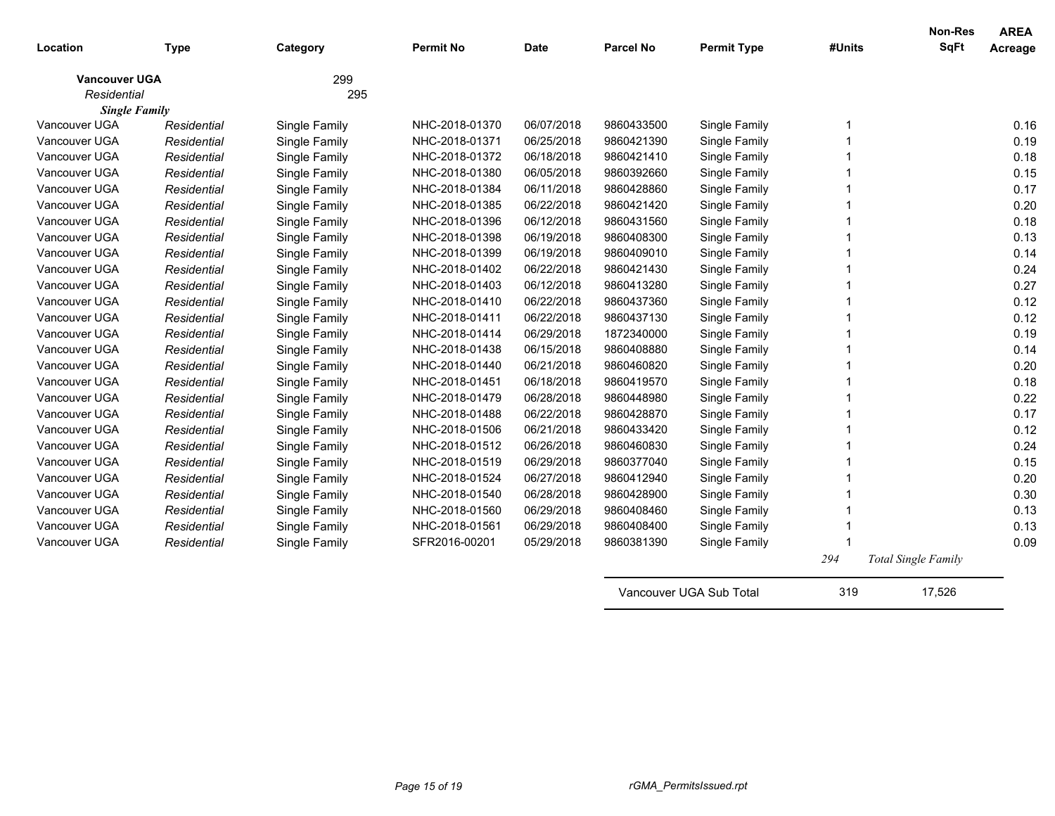| Location             | <b>Type</b> | Category      | <b>Permit No</b> | <b>Date</b> | <b>Parcel No</b> | <b>Permit Type</b>      | #Units | <b>Non-Res</b><br><b>SqFt</b> | <b>AREA</b><br>Acreage |
|----------------------|-------------|---------------|------------------|-------------|------------------|-------------------------|--------|-------------------------------|------------------------|
| <b>Vancouver UGA</b> |             | 299           |                  |             |                  |                         |        |                               |                        |
| Residential          |             | 295           |                  |             |                  |                         |        |                               |                        |
| <b>Single Family</b> |             |               |                  |             |                  |                         |        |                               |                        |
| Vancouver UGA        | Residential | Single Family | NHC-2018-01370   | 06/07/2018  | 9860433500       | Single Family           |        |                               | 0.16                   |
| Vancouver UGA        | Residential | Single Family | NHC-2018-01371   | 06/25/2018  | 9860421390       | Single Family           |        |                               | 0.19                   |
| Vancouver UGA        | Residential | Single Family | NHC-2018-01372   | 06/18/2018  | 9860421410       | Single Family           |        |                               | 0.18                   |
| Vancouver UGA        | Residential | Single Family | NHC-2018-01380   | 06/05/2018  | 9860392660       | Single Family           |        |                               | 0.15                   |
| Vancouver UGA        | Residential | Single Family | NHC-2018-01384   | 06/11/2018  | 9860428860       | Single Family           |        |                               | 0.17                   |
| Vancouver UGA        | Residential | Single Family | NHC-2018-01385   | 06/22/2018  | 9860421420       | Single Family           |        |                               | 0.20                   |
| Vancouver UGA        | Residential | Single Family | NHC-2018-01396   | 06/12/2018  | 9860431560       | Single Family           |        |                               | 0.18                   |
| Vancouver UGA        | Residential | Single Family | NHC-2018-01398   | 06/19/2018  | 9860408300       | Single Family           |        |                               | 0.13                   |
| Vancouver UGA        | Residential | Single Family | NHC-2018-01399   | 06/19/2018  | 9860409010       | Single Family           |        |                               | 0.14                   |
| Vancouver UGA        | Residential | Single Family | NHC-2018-01402   | 06/22/2018  | 9860421430       | Single Family           |        |                               | 0.24                   |
| Vancouver UGA        | Residential | Single Family | NHC-2018-01403   | 06/12/2018  | 9860413280       | Single Family           |        |                               | 0.27                   |
| Vancouver UGA        | Residential | Single Family | NHC-2018-01410   | 06/22/2018  | 9860437360       | Single Family           |        |                               | 0.12                   |
| Vancouver UGA        | Residential | Single Family | NHC-2018-01411   | 06/22/2018  | 9860437130       | Single Family           |        |                               | 0.12                   |
| Vancouver UGA        | Residential | Single Family | NHC-2018-01414   | 06/29/2018  | 1872340000       | Single Family           |        |                               | 0.19                   |
| Vancouver UGA        | Residential | Single Family | NHC-2018-01438   | 06/15/2018  | 9860408880       | Single Family           |        |                               | 0.14                   |
| Vancouver UGA        | Residential | Single Family | NHC-2018-01440   | 06/21/2018  | 9860460820       | Single Family           |        |                               | 0.20                   |
| Vancouver UGA        | Residential | Single Family | NHC-2018-01451   | 06/18/2018  | 9860419570       | Single Family           |        |                               | 0.18                   |
| Vancouver UGA        | Residential | Single Family | NHC-2018-01479   | 06/28/2018  | 9860448980       | Single Family           |        |                               | 0.22                   |
| Vancouver UGA        | Residential | Single Family | NHC-2018-01488   | 06/22/2018  | 9860428870       | Single Family           |        |                               | 0.17                   |
| Vancouver UGA        | Residential | Single Family | NHC-2018-01506   | 06/21/2018  | 9860433420       | Single Family           |        |                               | 0.12                   |
| Vancouver UGA        | Residential | Single Family | NHC-2018-01512   | 06/26/2018  | 9860460830       | Single Family           |        |                               | 0.24                   |
| Vancouver UGA        | Residential | Single Family | NHC-2018-01519   | 06/29/2018  | 9860377040       | Single Family           |        |                               | 0.15                   |
| Vancouver UGA        | Residential | Single Family | NHC-2018-01524   | 06/27/2018  | 9860412940       | Single Family           |        |                               | 0.20                   |
| Vancouver UGA        | Residential | Single Family | NHC-2018-01540   | 06/28/2018  | 9860428900       | Single Family           |        |                               | 0.30                   |
| Vancouver UGA        | Residential | Single Family | NHC-2018-01560   | 06/29/2018  | 9860408460       | Single Family           |        |                               | 0.13                   |
| Vancouver UGA        | Residential | Single Family | NHC-2018-01561   | 06/29/2018  | 9860408400       | Single Family           |        |                               | 0.13                   |
| Vancouver UGA        | Residential | Single Family | SFR2016-00201    | 05/29/2018  | 9860381390       | Single Family           |        |                               | 0.09                   |
|                      |             |               |                  |             |                  |                         | 294    | <b>Total Single Family</b>    |                        |
|                      |             |               |                  |             |                  | Vancouver UGA Sub Total | 319    | 17,526                        |                        |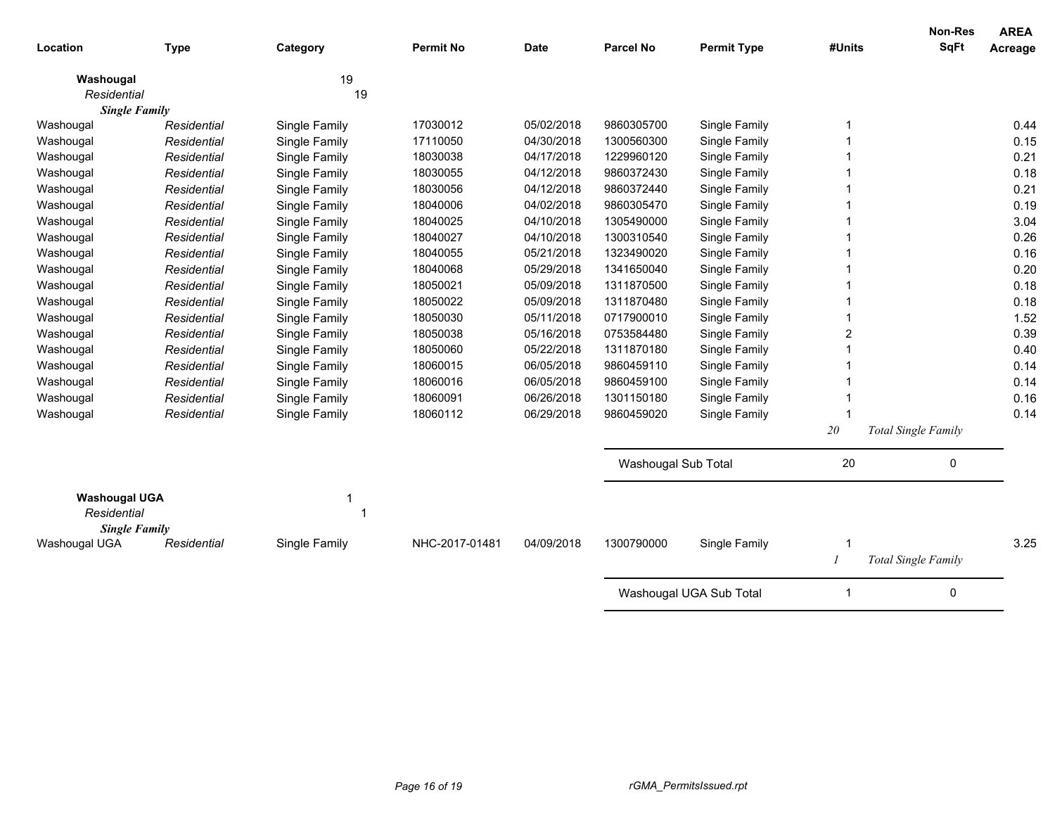| Location                                                    | <b>Type</b> |               | <b>Permit No</b> | <b>Date</b> | <b>Parcel No</b>    | <b>Permit Type</b>      | #Units | Non-Res<br><b>SqFt</b>     | <b>AREA</b><br>Acreage |
|-------------------------------------------------------------|-------------|---------------|------------------|-------------|---------------------|-------------------------|--------|----------------------------|------------------------|
|                                                             |             | Category      |                  |             |                     |                         |        |                            |                        |
| Washougal                                                   |             | 19            |                  |             |                     |                         |        |                            |                        |
| Residential                                                 |             | 19            |                  |             |                     |                         |        |                            |                        |
| <b>Single Family</b>                                        |             |               |                  |             |                     |                         |        |                            |                        |
| Washougal                                                   | Residential | Single Family | 17030012         | 05/02/2018  | 9860305700          | Single Family           | -1     |                            | 0.44                   |
| Washougal                                                   | Residential | Single Family | 17110050         | 04/30/2018  | 1300560300          | Single Family           |        |                            | 0.15                   |
| Washougal                                                   | Residential | Single Family | 18030038         | 04/17/2018  | 1229960120          | Single Family           |        |                            | 0.21                   |
| Washougal                                                   | Residential | Single Family | 18030055         | 04/12/2018  | 9860372430          | Single Family           |        |                            | 0.18                   |
| Washougal                                                   | Residential | Single Family | 18030056         | 04/12/2018  | 9860372440          | Single Family           |        |                            | 0.21                   |
| Washougal                                                   | Residential | Single Family | 18040006         | 04/02/2018  | 9860305470          | Single Family           |        |                            | 0.19                   |
| Washougal                                                   | Residential | Single Family | 18040025         | 04/10/2018  | 1305490000          | Single Family           |        |                            | 3.04                   |
| Washougal                                                   | Residential | Single Family | 18040027         | 04/10/2018  | 1300310540          | Single Family           |        |                            | 0.26                   |
| Washougal                                                   | Residential | Single Family | 18040055         | 05/21/2018  | 1323490020          | Single Family           |        |                            | 0.16                   |
| Washougal                                                   | Residential | Single Family | 18040068         | 05/29/2018  | 1341650040          | Single Family           |        |                            | 0.20                   |
| Washougal                                                   | Residential | Single Family | 18050021         | 05/09/2018  | 1311870500          | Single Family           |        |                            | 0.18                   |
| Washougal                                                   | Residential | Single Family | 18050022         | 05/09/2018  | 1311870480          | Single Family           |        |                            | 0.18                   |
| Washougal                                                   | Residential | Single Family | 18050030         | 05/11/2018  | 0717900010          | Single Family           |        |                            | 1.52                   |
| Washougal                                                   | Residential | Single Family | 18050038         | 05/16/2018  | 0753584480          | Single Family           | 2      |                            | 0.39                   |
| Washougal                                                   | Residential | Single Family | 18050060         | 05/22/2018  | 1311870180          | Single Family           |        |                            | 0.40                   |
| Washougal                                                   | Residential | Single Family | 18060015         | 06/05/2018  | 9860459110          | Single Family           |        |                            | 0.14                   |
| Washougal                                                   | Residential | Single Family | 18060016         | 06/05/2018  | 9860459100          | Single Family           |        |                            | 0.14                   |
| Washougal                                                   | Residential | Single Family | 18060091         | 06/26/2018  | 1301150180          | Single Family           |        |                            | 0.16                   |
| Washougal                                                   | Residential | Single Family | 18060112         | 06/29/2018  | 9860459020          | Single Family           | -1     |                            | 0.14                   |
|                                                             |             |               |                  |             |                     |                         | 20     | <b>Total Single Family</b> |                        |
|                                                             |             |               |                  |             | Washougal Sub Total |                         | 20     | 0                          |                        |
|                                                             |             |               |                  |             |                     |                         |        |                            |                        |
| <b>Washougal UGA</b><br>Residential<br><b>Single Family</b> |             | 1             |                  |             |                     |                         |        |                            |                        |
| Washougal UGA                                               | Residential | Single Family | NHC-2017-01481   | 04/09/2018  | 1300790000          | Single Family           | -1     |                            | 3.25                   |
|                                                             |             |               |                  |             |                     |                         | 1      | <b>Total Single Family</b> |                        |
|                                                             |             |               |                  |             |                     | Washougal UGA Sub Total | 1      | 0                          |                        |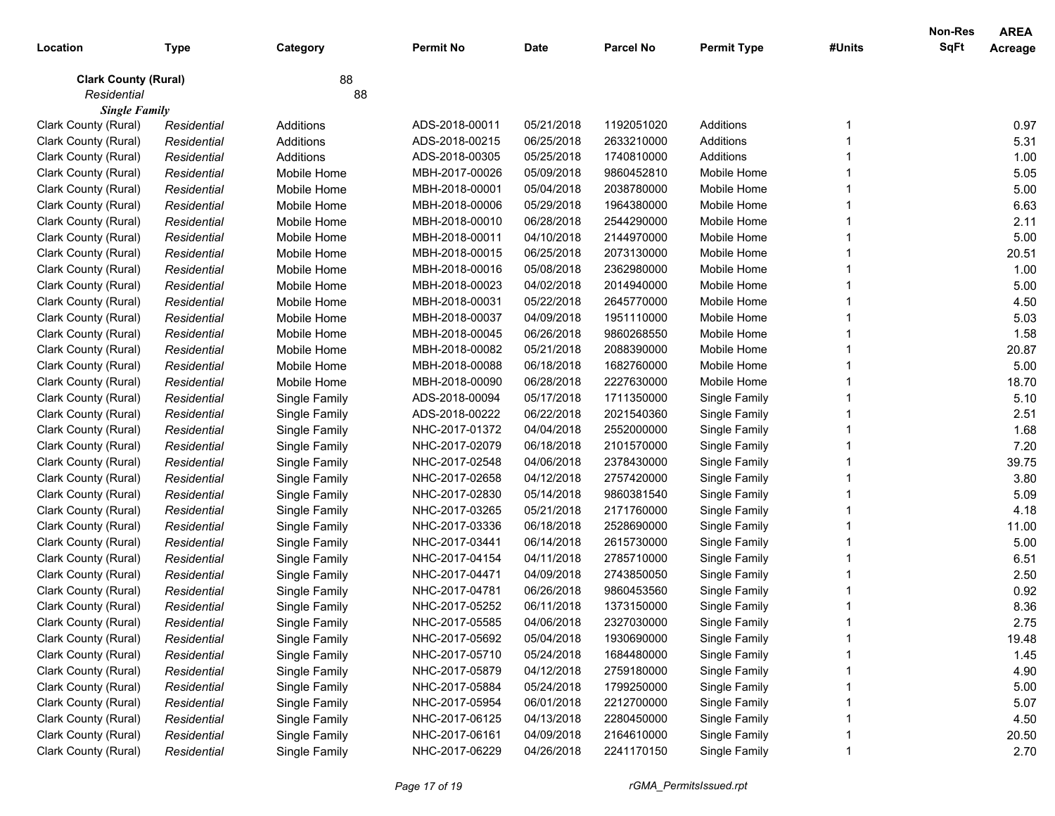|                             |             |               |                  |             |                  |                    |        | Non-Res     | <b>AREA</b> |
|-----------------------------|-------------|---------------|------------------|-------------|------------------|--------------------|--------|-------------|-------------|
| Location                    | <b>Type</b> | Category      | <b>Permit No</b> | <b>Date</b> | <b>Parcel No</b> | <b>Permit Type</b> | #Units | <b>SqFt</b> | Acreage     |
| <b>Clark County (Rural)</b> |             | 88            |                  |             |                  |                    |        |             |             |
| Residential                 |             | 88            |                  |             |                  |                    |        |             |             |
| <b>Single Family</b>        |             |               |                  |             |                  |                    |        |             |             |
| Clark County (Rural)        | Residential | Additions     | ADS-2018-00011   | 05/21/2018  | 1192051020       | Additions          |        |             | 0.97        |
| Clark County (Rural)        | Residential | Additions     | ADS-2018-00215   | 06/25/2018  | 2633210000       | Additions          |        |             | 5.31        |
| Clark County (Rural)        | Residential | Additions     | ADS-2018-00305   | 05/25/2018  | 1740810000       | Additions          |        |             | 1.00        |
| Clark County (Rural)        | Residential | Mobile Home   | MBH-2017-00026   | 05/09/2018  | 9860452810       | Mobile Home        |        |             | 5.05        |
| Clark County (Rural)        | Residential | Mobile Home   | MBH-2018-00001   | 05/04/2018  | 2038780000       | Mobile Home        |        |             | 5.00        |
| Clark County (Rural)        | Residential | Mobile Home   | MBH-2018-00006   | 05/29/2018  | 1964380000       | Mobile Home        |        |             | 6.63        |
| Clark County (Rural)        | Residential | Mobile Home   | MBH-2018-00010   | 06/28/2018  | 2544290000       | Mobile Home        |        |             | 2.11        |
| Clark County (Rural)        | Residential | Mobile Home   | MBH-2018-00011   | 04/10/2018  | 2144970000       | Mobile Home        |        |             | 5.00        |
| Clark County (Rural)        | Residential | Mobile Home   | MBH-2018-00015   | 06/25/2018  | 2073130000       | Mobile Home        |        |             | 20.51       |
| Clark County (Rural)        | Residential | Mobile Home   | MBH-2018-00016   | 05/08/2018  | 2362980000       | Mobile Home        |        |             | 1.00        |
| Clark County (Rural)        | Residential | Mobile Home   | MBH-2018-00023   | 04/02/2018  | 2014940000       | Mobile Home        |        |             | 5.00        |
| Clark County (Rural)        | Residential | Mobile Home   | MBH-2018-00031   | 05/22/2018  | 2645770000       | Mobile Home        |        |             | 4.50        |
| Clark County (Rural)        | Residential | Mobile Home   | MBH-2018-00037   | 04/09/2018  | 1951110000       | Mobile Home        |        |             | 5.03        |
| Clark County (Rural)        | Residential | Mobile Home   | MBH-2018-00045   | 06/26/2018  | 9860268550       | Mobile Home        |        |             | 1.58        |
| Clark County (Rural)        | Residential | Mobile Home   | MBH-2018-00082   | 05/21/2018  | 2088390000       | Mobile Home        |        |             | 20.87       |
| Clark County (Rural)        | Residential | Mobile Home   | MBH-2018-00088   | 06/18/2018  | 1682760000       | Mobile Home        |        |             | 5.00        |
| Clark County (Rural)        | Residential | Mobile Home   | MBH-2018-00090   | 06/28/2018  | 2227630000       | Mobile Home        |        |             | 18.70       |
| Clark County (Rural)        | Residential | Single Family | ADS-2018-00094   | 05/17/2018  | 1711350000       | Single Family      |        |             | 5.10        |
| Clark County (Rural)        | Residential | Single Family | ADS-2018-00222   | 06/22/2018  | 2021540360       | Single Family      |        |             | 2.51        |
| Clark County (Rural)        | Residential | Single Family | NHC-2017-01372   | 04/04/2018  | 2552000000       | Single Family      |        |             | 1.68        |
| Clark County (Rural)        | Residential | Single Family | NHC-2017-02079   | 06/18/2018  | 2101570000       | Single Family      |        |             | 7.20        |
| Clark County (Rural)        | Residential | Single Family | NHC-2017-02548   | 04/06/2018  | 2378430000       | Single Family      |        |             | 39.75       |
| Clark County (Rural)        | Residential | Single Family | NHC-2017-02658   | 04/12/2018  | 2757420000       | Single Family      |        |             | 3.80        |
| Clark County (Rural)        | Residential | Single Family | NHC-2017-02830   | 05/14/2018  | 9860381540       | Single Family      |        |             | 5.09        |
| Clark County (Rural)        | Residential | Single Family | NHC-2017-03265   | 05/21/2018  | 2171760000       | Single Family      |        |             | 4.18        |
| Clark County (Rural)        | Residential | Single Family | NHC-2017-03336   | 06/18/2018  | 2528690000       | Single Family      |        |             | 11.00       |
| Clark County (Rural)        | Residential | Single Family | NHC-2017-03441   | 06/14/2018  | 2615730000       | Single Family      |        |             | 5.00        |
| Clark County (Rural)        | Residential | Single Family | NHC-2017-04154   | 04/11/2018  | 2785710000       | Single Family      |        |             | 6.51        |
| Clark County (Rural)        | Residential | Single Family | NHC-2017-04471   | 04/09/2018  | 2743850050       | Single Family      |        |             | 2.50        |
| Clark County (Rural)        | Residential | Single Family | NHC-2017-04781   | 06/26/2018  | 9860453560       | Single Family      |        |             | 0.92        |
| Clark County (Rural)        | Residential | Single Family | NHC-2017-05252   | 06/11/2018  | 1373150000       | Single Family      |        |             | 8.36        |
| Clark County (Rural)        | Residential | Single Family | NHC-2017-05585   | 04/06/2018  | 2327030000       | Single Family      |        |             | 2.75        |
| Clark County (Rural)        | Residential | Single Family | NHC-2017-05692   | 05/04/2018  | 1930690000       | Single Family      |        |             | 19.48       |
| Clark County (Rural)        | Residential | Single Family | NHC-2017-05710   | 05/24/2018  | 1684480000       | Single Family      |        |             | 1.45        |
| Clark County (Rural)        | Residential | Single Family | NHC-2017-05879   | 04/12/2018  | 2759180000       | Single Family      |        |             | 4.90        |
| Clark County (Rural)        | Residential | Single Family | NHC-2017-05884   | 05/24/2018  | 1799250000       | Single Family      |        |             | 5.00        |
| Clark County (Rural)        | Residential | Single Family | NHC-2017-05954   | 06/01/2018  | 2212700000       | Single Family      |        |             | 5.07        |
| Clark County (Rural)        | Residential | Single Family | NHC-2017-06125   | 04/13/2018  | 2280450000       | Single Family      |        |             | 4.50        |
| Clark County (Rural)        | Residential | Single Family | NHC-2017-06161   | 04/09/2018  | 2164610000       | Single Family      |        |             | 20.50       |
| Clark County (Rural)        | Residential | Single Family | NHC-2017-06229   | 04/26/2018  | 2241170150       | Single Family      |        |             | 2.70        |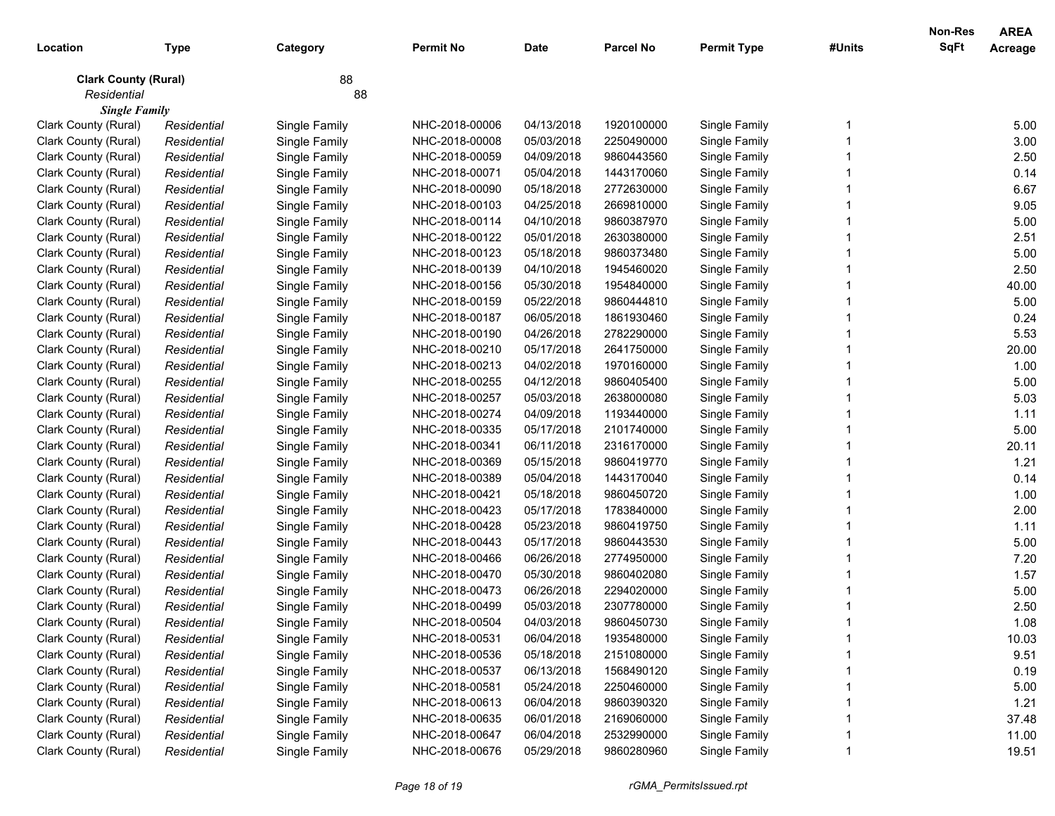| Location                    | <b>Type</b> | Category      | <b>Permit No</b> | <b>Date</b> | <b>Parcel No</b> | <b>Permit Type</b> | #Units | Non-Res<br><b>SqFt</b> | <b>AREA</b><br>Acreage |
|-----------------------------|-------------|---------------|------------------|-------------|------------------|--------------------|--------|------------------------|------------------------|
| <b>Clark County (Rural)</b> |             | 88            |                  |             |                  |                    |        |                        |                        |
| Residential                 |             | 88            |                  |             |                  |                    |        |                        |                        |
| <b>Single Family</b>        |             |               |                  |             |                  |                    |        |                        |                        |
| Clark County (Rural)        | Residential | Single Family | NHC-2018-00006   | 04/13/2018  | 1920100000       | Single Family      |        |                        | 5.00                   |
| Clark County (Rural)        | Residential | Single Family | NHC-2018-00008   | 05/03/2018  | 2250490000       | Single Family      |        |                        | 3.00                   |
| Clark County (Rural)        | Residential | Single Family | NHC-2018-00059   | 04/09/2018  | 9860443560       | Single Family      |        |                        | 2.50                   |
| Clark County (Rural)        | Residential | Single Family | NHC-2018-00071   | 05/04/2018  | 1443170060       | Single Family      |        |                        | 0.14                   |
| Clark County (Rural)        | Residential | Single Family | NHC-2018-00090   | 05/18/2018  | 2772630000       | Single Family      |        |                        | 6.67                   |
| Clark County (Rural)        | Residential | Single Family | NHC-2018-00103   | 04/25/2018  | 2669810000       | Single Family      |        |                        | 9.05                   |
| Clark County (Rural)        | Residential | Single Family | NHC-2018-00114   | 04/10/2018  | 9860387970       | Single Family      |        |                        | 5.00                   |
| Clark County (Rural)        | Residential | Single Family | NHC-2018-00122   | 05/01/2018  | 2630380000       | Single Family      |        |                        | 2.51                   |
| Clark County (Rural)        | Residential | Single Family | NHC-2018-00123   | 05/18/2018  | 9860373480       | Single Family      |        |                        | 5.00                   |
| Clark County (Rural)        | Residential | Single Family | NHC-2018-00139   | 04/10/2018  | 1945460020       | Single Family      |        |                        | 2.50                   |
| Clark County (Rural)        | Residential | Single Family | NHC-2018-00156   | 05/30/2018  | 1954840000       | Single Family      |        |                        | 40.00                  |
| Clark County (Rural)        | Residential | Single Family | NHC-2018-00159   | 05/22/2018  | 9860444810       | Single Family      |        |                        | 5.00                   |
| Clark County (Rural)        | Residential | Single Family | NHC-2018-00187   | 06/05/2018  | 1861930460       | Single Family      |        |                        | 0.24                   |
| Clark County (Rural)        | Residential | Single Family | NHC-2018-00190   | 04/26/2018  | 2782290000       | Single Family      |        |                        | 5.53                   |
| Clark County (Rural)        | Residential | Single Family | NHC-2018-00210   | 05/17/2018  | 2641750000       | Single Family      |        |                        | 20.00                  |
| Clark County (Rural)        | Residential | Single Family | NHC-2018-00213   | 04/02/2018  | 1970160000       | Single Family      |        |                        | 1.00                   |
| Clark County (Rural)        | Residential | Single Family | NHC-2018-00255   | 04/12/2018  | 9860405400       | Single Family      |        |                        | 5.00                   |
| Clark County (Rural)        | Residential | Single Family | NHC-2018-00257   | 05/03/2018  | 2638000080       | Single Family      |        |                        | 5.03                   |
| Clark County (Rural)        | Residential | Single Family | NHC-2018-00274   | 04/09/2018  | 1193440000       | Single Family      |        |                        | 1.11                   |
| Clark County (Rural)        | Residential | Single Family | NHC-2018-00335   | 05/17/2018  | 2101740000       | Single Family      |        |                        | 5.00                   |
| Clark County (Rural)        | Residential | Single Family | NHC-2018-00341   | 06/11/2018  | 2316170000       | Single Family      |        |                        | 20.11                  |
| Clark County (Rural)        | Residential | Single Family | NHC-2018-00369   | 05/15/2018  | 9860419770       | Single Family      |        |                        | 1.21                   |
| Clark County (Rural)        | Residential | Single Family | NHC-2018-00389   | 05/04/2018  | 1443170040       | Single Family      |        |                        | 0.14                   |
| Clark County (Rural)        | Residential | Single Family | NHC-2018-00421   | 05/18/2018  | 9860450720       | Single Family      |        |                        | 1.00                   |
| Clark County (Rural)        | Residential | Single Family | NHC-2018-00423   | 05/17/2018  | 1783840000       | Single Family      |        |                        | 2.00                   |
| Clark County (Rural)        | Residential | Single Family | NHC-2018-00428   | 05/23/2018  | 9860419750       | Single Family      |        |                        | 1.11                   |
| Clark County (Rural)        | Residential | Single Family | NHC-2018-00443   | 05/17/2018  | 9860443530       | Single Family      |        |                        | 5.00                   |
| Clark County (Rural)        | Residential | Single Family | NHC-2018-00466   | 06/26/2018  | 2774950000       | Single Family      |        |                        | 7.20                   |
| Clark County (Rural)        | Residential | Single Family | NHC-2018-00470   | 05/30/2018  | 9860402080       | Single Family      |        |                        | 1.57                   |
| Clark County (Rural)        | Residential | Single Family | NHC-2018-00473   | 06/26/2018  | 2294020000       | Single Family      |        |                        | 5.00                   |
| Clark County (Rural)        | Residential | Single Family | NHC-2018-00499   | 05/03/2018  | 2307780000       | Single Family      |        |                        | 2.50                   |
| Clark County (Rural)        | Residential | Single Family | NHC-2018-00504   | 04/03/2018  | 9860450730       | Single Family      |        |                        | 1.08                   |
| Clark County (Rural)        | Residential | Single Family | NHC-2018-00531   | 06/04/2018  | 1935480000       | Single Family      |        |                        | 10.03                  |
| Clark County (Rural)        | Residential | Single Family | NHC-2018-00536   | 05/18/2018  | 2151080000       | Single Family      |        |                        | 9.51                   |
| Clark County (Rural)        | Residential | Single Family | NHC-2018-00537   | 06/13/2018  | 1568490120       | Single Family      |        |                        | 0.19                   |
| Clark County (Rural)        | Residential | Single Family | NHC-2018-00581   | 05/24/2018  | 2250460000       | Single Family      |        |                        | 5.00                   |
| Clark County (Rural)        | Residential | Single Family | NHC-2018-00613   | 06/04/2018  | 9860390320       | Single Family      |        |                        | 1.21                   |
| Clark County (Rural)        | Residential | Single Family | NHC-2018-00635   | 06/01/2018  | 2169060000       | Single Family      |        |                        | 37.48                  |
| Clark County (Rural)        | Residential | Single Family | NHC-2018-00647   | 06/04/2018  | 2532990000       | Single Family      |        |                        | 11.00                  |
| Clark County (Rural)        | Residential | Single Family | NHC-2018-00676   | 05/29/2018  | 9860280960       | Single Family      |        |                        | 19.51                  |